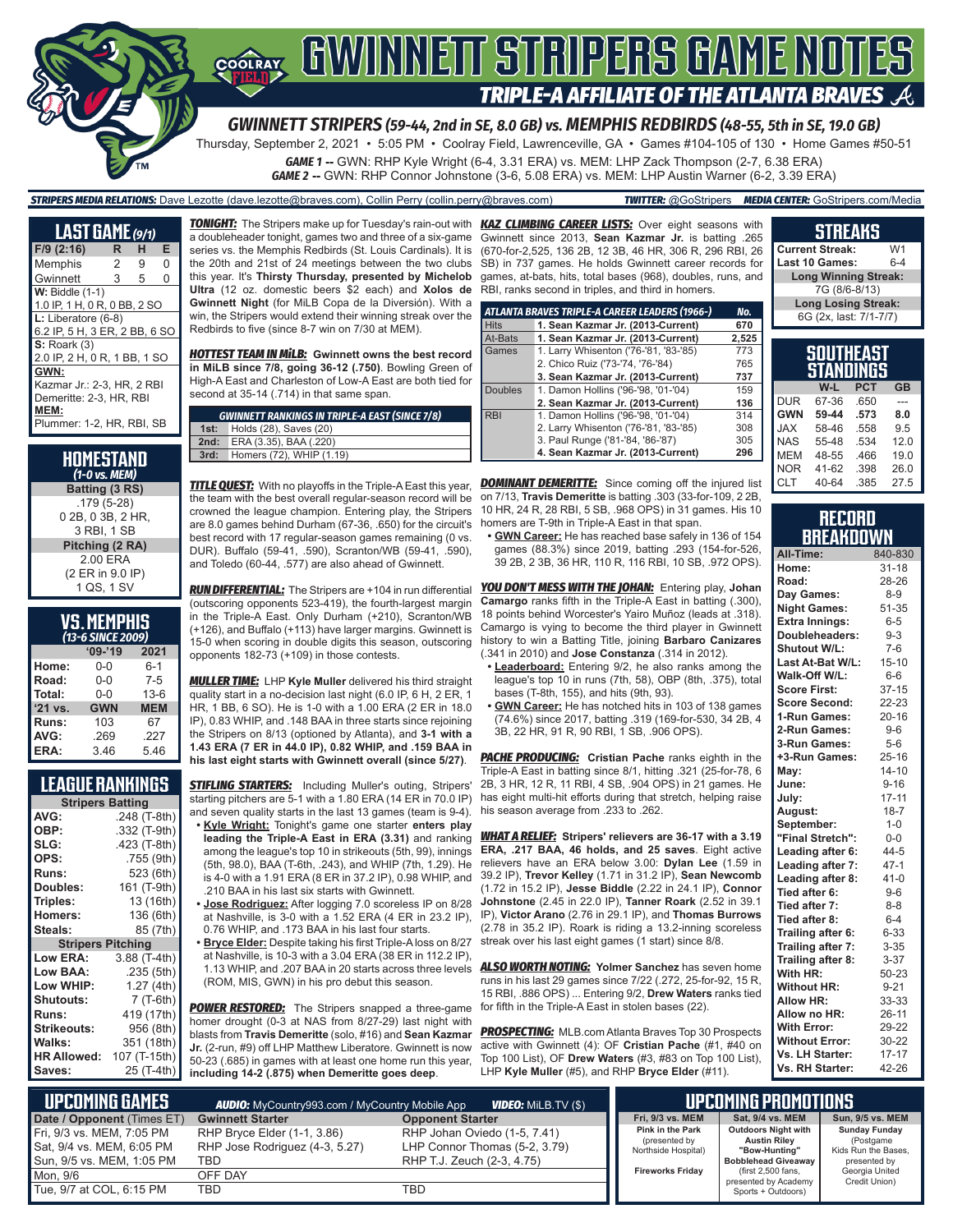

*GWINNETT STRIPERS (59-44, 2nd in SE, 8.0 GB) vs. MEMPHIS REDBIRDS (48-55, 5th in SE, 19.0 GB)*

Thursday, September 2, 2021 • 5:05 PM • Coolray Field, Lawrenceville, GA • Games #104-105 of 130 • Home Games #50-51

*GAME 1* **--** GWN: RHP Kyle Wright (6-4, 3.31 ERA) vs. MEM: LHP Zack Thompson (2-7, 6.38 ERA) *GAME 2* **--** GWN: RHP Connor Johnstone (3-6, 5.08 ERA) vs. MEM: LHP Austin Warner (6-2, 3.39 ERA)

*STRIPERS MEDIA RELATIONS:* Dave Lezotte (dave.lezotte@braves.com), Collin Perry (collin.perry@braves.com) *TWITTER:* @GoStripers *MEDIA CENTER:* GoStripers.com/Media

| <u>LAS</u> T GÀME (9/1)                                                                                                            |   |   |   |  |  |
|------------------------------------------------------------------------------------------------------------------------------------|---|---|---|--|--|
| $F/9$ (2:16)                                                                                                                       | R | н | Е |  |  |
| Memphis                                                                                                                            | 2 | 9 | 0 |  |  |
| Gwinnett                                                                                                                           | 3 | 5 | 0 |  |  |
| <b>W: Biddle (1-1)</b><br>1.0 IP, 1 H, 0 R, 0 BB, 2 SO                                                                             |   |   |   |  |  |
| $L:$ Liberatore (6-8)<br>6.2 IP, 5 H, 3 ER, 2 BB, 6 SO                                                                             |   |   |   |  |  |
| $S:$ Roark $(3)$                                                                                                                   |   |   |   |  |  |
| 2.0 IP, 2 H, 0 R, 1 BB, 1 SO<br>GWN:<br>Kazmar Jr.: 2-3, HR, 2 RBI<br>Demeritte: 2-3, HR, RBI<br>MEM:<br>Plummer: 1-2, HR, RBI, SB |   |   |   |  |  |

| HOMESTAND<br>(1-0 vs. MEM)                       |
|--------------------------------------------------|
| Batting (3 RS)                                   |
| $.179(5-28)$<br>0 2B, 0 3B, 2 HR,<br>3 RBI, 1 SB |
| Pitching (2 RA)                                  |
| 2.00 ERA<br>(2 ER in 9.0 IP)<br>1 QS, 1 SV       |

| <b>VS.MEMPHIS</b> |  |  |
|-------------------|--|--|
| (13-6 SINCE 2009) |  |  |

|         | $09 - 19$  | 2021       |
|---------|------------|------------|
| Home:   | $0 - 0$    | $6 - 1$    |
| Road:   | $0 - 0$    | $7-5$      |
| Total:  | $0 - 0$    | $13-6$     |
| '21 vs. | <b>GWN</b> | <b>MEM</b> |
| Runs:   | 103        | 67         |
| AVG:    | .269       | .227       |
| ERA:    | 3.46       | 5.46       |

### **LEAGUE RANKINGS**

| <b>Stripers Batting</b>  |              |  |  |  |
|--------------------------|--------------|--|--|--|
| AVG:                     | .248 (T-8th) |  |  |  |
| OBP:                     | .332 (T-9th) |  |  |  |
| SLG:                     | .423 (T-8th) |  |  |  |
| OPS:                     | .755 (9th)   |  |  |  |
| <b>Runs:</b>             | 523 (6th)    |  |  |  |
| Doubles:                 | 161 (T-9th)  |  |  |  |
| Triples:                 | 13 (16th)    |  |  |  |
| <b>Homers:</b>           | 136 (6th)    |  |  |  |
| Steals:                  | 85 (7th)     |  |  |  |
| <b>Stripers Pitching</b> |              |  |  |  |
| <b>Low ERA:</b>          | 3.88 (T-4th) |  |  |  |
| Low BAA:                 | .235 (5th)   |  |  |  |
| Low WHIP:                | 1.27 (4th)   |  |  |  |
| <b>Shutouts:</b>         | 7 (T-6th)    |  |  |  |
| <b>Runs:</b>             | 419 (17th)   |  |  |  |
| Strikeouts:              | 956 (8th)    |  |  |  |
| Walks:                   | 351 (18th)   |  |  |  |
| <b>HR Allowed:</b>       | 107 (T-15th) |  |  |  |
| Saves:                   | 25 (T-4th)   |  |  |  |

*TONIGHT:* The Stripers make up for Tuesday's rain-out with *KAZ CLIMBING CAREER LISTS:* Over eight seasons with a doubleheader tonight, games two and three of a six-game series vs. the Memphis Redbirds (St. Louis Cardinals). It is the 20th and 21st of 24 meetings between the two clubs this year. It's **Thirsty Thursday, presented by Michelob Ultra** (12 oz. domestic beers \$2 each) and **Xolos de Gwinnett Night** (for MiLB Copa de la Diversión). With a win, the Stripers would extend their winning streak over the Redbirds to five (since 8-7 win on 7/30 at MEM).

*HOTTEST TEAM IN MiLB:* **Gwinnett owns the best record in MiLB since 7/8, going 36-12 (.750)**. Bowling Green of High-A East and Charleston of Low-A East are both tied for second at 35-14 (.714) in that same span.

|      | <b>GWINNETT RANKINGS IN TRIPLE-A EAST (SINCE 7/8)</b> |
|------|-------------------------------------------------------|
| 1st: | Holds (28), Saves (20)                                |
| 2nd: | ERA (3.35), BAA (.220)                                |
| 3rd: | Homers (72), WHIP (1.19)                              |
|      |                                                       |

*TITLE QUEST:* With no playoffs in the Triple-A East this year, the team with the best overall regular-season record will be crowned the league champion. Entering play, the Stripers are 8.0 games behind Durham (67-36, .650) for the circuit's best record with 17 regular-season games remaining (0 vs. DUR). Buffalo (59-41, .590), Scranton/WB (59-41, .590), and Toledo (60-44, .577) are also ahead of Gwinnett.

(outscoring opponents 523-419), the fourth-largest margin in the Triple-A East. Only Durham (+210), Scranton/WB (+126), and Buffalo (+113) have larger margins. Gwinnett is 15-0 when scoring in double digits this season, outscoring opponents 182-73 (+109) in those contests.

*MULLER TIME:* LHP **Kyle Muller** delivered his third straight quality start in a no-decision last night (6.0 IP, 6 H, 2 ER, 1 HR, 1 BB, 6 SO). He is 1-0 with a 1.00 ERA (2 ER in 18.0 IP), 0.83 WHIP, and .148 BAA in three starts since rejoining the Stripers on 8/13 (optioned by Atlanta), and **3-1 with a 1.43 ERA (7 ER in 44.0 IP), 0.82 WHIP, and .159 BAA in his last eight starts with Gwinnett overall (since 5/27)**.

**STIFLING STARTERS:** Including Muller's outing, Stripers' starting pitchers are 5-1 with a 1.80 ERA (14 ER in 70.0 IP) and seven quality starts in the last 13 games (team is 9-4).

- **• Kyle Wright:** Tonight's game one starter **enters play leading the Triple-A East in ERA (3.31)** and ranking among the league's top 10 in strikeouts (5th, 99), innings (5th, 98.0), BAA (T-6th, .243), and WHIP (7th, 1.29). He is 4-0 with a 1.91 ERA (8 ER in 37.2 IP), 0.98 WHIP, and .210 BAA in his last six starts with Gwinnett.
- **• Jose Rodriguez:** After logging 7.0 scoreless IP on 8/28 at Nashville, is 3-0 with a 1.52 ERA (4 ER in 23.2 IP), 0.76 WHIP, and .173 BAA in his last four starts.
- **• Bryce Elder:** Despite taking his first Triple-A loss on 8/27 at Nashville, is 10-3 with a 3.04 ERA (38 ER in 112.2 IP), 1.13 WHIP, and .207 BAA in 20 starts across three levels (ROM, MIS, GWN) in his pro debut this season.

**POWER RESTORED:** The Stripers snapped a three-game homer drought (0-3 at NAS from 8/27-29) last night with blasts from **Travis Demeritte** (solo, #16) and **Sean Kazmar Jr.** (2-run, #9) off LHP Matthew Liberatore. Gwinnett is now 50-23 (.685) in games with at least one home run this year, **including 14-2 (.875) when Demeritte goes deep**.

Gwinnett since 2013, **Sean Kazmar Jr.** is batting .265 (670-for-2,525, 136 2B, 12 3B, 46 HR, 306 R, 296 RBI, 26 SB) in 737 games. He holds Gwinnett career records for games, at-bats, hits, total bases (968), doubles, runs, and RBI, ranks second in triples, and third in homers.

|                | ATLANTA BRAVES TRIPLE-A CAREER LEADERS (1966-) | No.   |
|----------------|------------------------------------------------|-------|
| <b>Hits</b>    | 1. Sean Kazmar Jr. (2013-Current)              | 670   |
| At-Bats        | 1. Sean Kazmar Jr. (2013-Current)              | 2.525 |
| Games          | 1. Larry Whisenton ('76-'81, '83-'85)          | 773   |
|                | 2. Chico Ruiz ('73-'74, '76-'84)               | 765   |
|                | 3. Sean Kazmar Jr. (2013-Current)              | 737   |
| <b>Doubles</b> | 1. Damon Hollins ('96-'98, '01-'04)            | 159   |
|                | 2. Sean Kazmar Jr. (2013-Current)              | 136   |
| <b>RBI</b>     | 1. Damon Hollins ('96-'98, '01-'04)            | 314   |
|                | 2. Larry Whisenton ('76-'81, '83-'85)          | 308   |
|                | 3. Paul Runge ('81-'84, '86-'87)               | 305   |
|                | 4. Sean Kazmar Jr. (2013-Current)              | 296   |

**DOMINANT DEMERITTE:** Since coming off the injured list on 7/13, **Travis Demeritte** is batting .303 (33-for-109, 2 2B, 10 HR, 24 R, 28 RBI, 5 SB, .968 OPS) in 31 games. His 10 homers are T-9th in Triple-A East in that span.

**• GWN Career:** He has reached base safely in 136 of 154 games (88.3%) since 2019, batting .293 (154-for-526, 39 2B, 2 3B, 36 HR, 110 R, 116 RBI, 10 SB, .972 OPS).

*RUN DIFFERENTIAL:* The Stripers are +104 in run differential *YOU DON'T MESS WITH THE JOHAN:* Entering play, **Johan Camargo** ranks fifth in the Triple-A East in batting (.300), 18 points behind Worcester's Yairo Muñoz (leads at .318). Camargo is vying to become the third player in Gwinnett history to win a Batting Title, joining **Barbaro Canizares** (.341 in 2010) and **Jose Constanza** (.314 in 2012).

- **• Leaderboard:** Entering 9/2, he also ranks among the league's top 10 in runs (7th, 58), OBP (8th, .375), total bases (T-8th, 155), and hits (9th, 93).
- **• GWN Career:** He has notched hits in 103 of 138 games (74.6%) since 2017, batting .319 (169-for-530, 34 2B, 4 3B, 22 HR, 91 R, 90 RBI, 1 SB, .906 OPS).

**PACHE PRODUCING:** Cristian Pache ranks eighth in the Triple-A East in batting since 8/1, hitting .321 (25-for-78, 6 2B, 3 HR, 12 R, 11 RBI, 4 SB, .904 OPS) in 21 games. He has eight multi-hit efforts during that stretch, helping raise his season average from .233 to .262.

*WHAT A RELIEF:* **Stripers' relievers are 36-17 with a 3.19 ERA, .217 BAA, 46 holds, and 25 saves**. Eight active relievers have an ERA below 3.00: **Dylan Lee** (1.59 in 39.2 IP), **Trevor Kelley** (1.71 in 31.2 IP), **Sean Newcomb** (1.72 in 15.2 IP), **Jesse Biddle** (2.22 in 24.1 IP), **Connor Johnstone** (2.45 in 22.0 IP), **Tanner Roark** (2.52 in 39.1 IP), **Victor Arano** (2.76 in 29.1 IP), and **Thomas Burrows** (2.78 in 35.2 IP). Roark is riding a 13.2-inning scoreless streak over his last eight games (1 start) since 8/8.

*ALSO WORTH NOTING:* **Yolmer Sanchez** has seven home runs in his last 29 games since 7/22 (.272, 25-for-92, 15 R, 15 RBI, .886 OPS) ... Entering 9/2, **Drew Waters** ranks tied for fifth in the Triple-A East in stolen bases (22).

*PROSPECTING:* MLB.com Atlanta Braves Top 30 Prospects active with Gwinnett (4): OF **Cristian Pache** (#1, #40 on Top 100 List), OF **Drew Waters** (#3, #83 on Top 100 List), LHP **Kyle Muller** (#5), and RHP **Bryce Elder** (#11).

|                               | Last 10 Games:              |            | 6-4 |  |
|-------------------------------|-----------------------------|------------|-----|--|
|                               | <b>Long Winning Streak:</b> |            |     |  |
|                               | 7G (8/6-8/13)               |            |     |  |
|                               | <b>Long Losing Streak:</b>  |            |     |  |
|                               | 6G (2x, last: 7/1-7/7)      |            |     |  |
|                               |                             |            |     |  |
| <b>SOUTHEAST</b><br>STANDINGS |                             |            |     |  |
|                               |                             |            |     |  |
|                               | W-L                         | <b>PCT</b> | GB  |  |

**STREAKS Current Streak:** W1

|            | VV-L  | ۲ω   | GB   |
|------------|-------|------|------|
| <b>DUR</b> | 67-36 | .650 |      |
| <b>GWN</b> | 59-44 | .573 | 8.0  |
| <b>JAX</b> | 58-46 | .558 | 9.5  |
| <b>NAS</b> | 55-48 | .534 | 12.0 |
| <b>MEM</b> | 48-55 | .466 | 19.0 |
| <b>NOR</b> | 41-62 | .398 | 26.0 |
| <b>CLT</b> | 40-64 | .385 | 27.5 |
|            |       |      |      |

#### **RECORD BREAKDOWN**

| All-Time:             | 840-830   |
|-----------------------|-----------|
| Home:                 | $31 - 18$ |
| Road:                 | 28-26     |
| Day Games:            | $8 - 9$   |
| <b>Night Games:</b>   | 51-35     |
| <b>Extra Innings:</b> | $6 - 5$   |
| Doubleheaders:        | $9 - 3$   |
| <b>Shutout W/L:</b>   | $7-6$     |
| Last At-Bat W/L:      | $15 - 10$ |
| Walk-Off W/L:         | $6-6$     |
| <b>Score First:</b>   | $37-15$   |
| <b>Score Second:</b>  | 22-23     |
| 1-Run Games:          | $20 - 16$ |
| 2-Run Games:          | $9 - 6$   |
| 3-Run Games:          | $5-6$     |
| +3-Run Games:         | $25 - 16$ |
| May:                  | $14 - 10$ |
| June:                 | $9 - 16$  |
| July:                 | $17 - 11$ |
| August:               | $18 - 7$  |
| September:            | $1 - 0$   |
| "Final Stretch":      | $0-0$     |
| Leading after 6:      | $44 - 5$  |
| Leading after 7:      | $47-1$    |
| Leading after 8:      | $41 - 0$  |
| Tied after 6:         | $9 - 6$   |
| Tied after 7:         | $8 - 8$   |
| Tied after 8:         | $6 - 4$   |
| Trailing after 6:     | $6 - 33$  |
| Trailing after 7:     | $3 - 35$  |
| Trailing after 8:     | $3 - 37$  |
| With HR:              | 50-23     |
| <b>Without HR:</b>    | $9 - 21$  |
| <b>Allow HR:</b>      | 33-33     |
| Allow no HR:          | 26-11     |
| <b>With Error:</b>    | 29-22     |
| <b>Without Error:</b> | 30-22     |
| Vs. LH Starter:       | $17 - 17$ |
| Vs. RH Starter:       | 42-26     |

| LUPCOMING GAMES I<br><b>VIDEO:</b> Milb.TV (\$)<br><b>AUDIO:</b> MyCountry993.com / MyCountry Mobile App |                                                                      |                                                                                             | UPCOMING PROMOTIONS                                             |                                                                                                  |                                                                          |
|----------------------------------------------------------------------------------------------------------|----------------------------------------------------------------------|---------------------------------------------------------------------------------------------|-----------------------------------------------------------------|--------------------------------------------------------------------------------------------------|--------------------------------------------------------------------------|
| Date / Opponent (Times ET)                                                                               | <b>Gwinnett Starter</b>                                              | <b>Opponent Starter</b>                                                                     | <b>Fri. 9/3 vs. MEM</b>                                         | Sat. 9/4 vs. MEM                                                                                 | Sun, 9/5 vs. MEM                                                         |
| Fri, 9/3 vs. MEM, 7:05 PM<br>Sat, 9/4 vs. MEM, 6:05 PM<br>l Sun. 9/5 vs. MEM. 1:05 PM                    | RHP Bryce Elder (1-1, 3.86)<br>RHP Jose Rodriguez (4-3, 5.27)<br>TBD | RHP Johan Oviedo (1-5, 7.41)<br>LHP Connor Thomas (5-2, 3.79)<br>RHP T.J. Zeuch (2-3, 4.75) | <b>Pink in the Park</b><br>(presented by<br>Northside Hospital) | <b>Outdoors Night with</b><br><b>Austin Rilev</b><br>"Bow-Hunting"<br><b>Bobblehead Giveaway</b> | <b>Sunday Funday</b><br>(Postgame<br>Kids Run the Bases,<br>presented by |
| Mon. 9/6                                                                                                 | OFF DAY                                                              |                                                                                             | <b>Fireworks Fridav</b>                                         | (first 2.500 fans.<br>presented by Academy                                                       | Georgia United<br>Credit Union)                                          |
| Tue, 9/7 at COL, 6:15 PM                                                                                 | TBD                                                                  | TBD                                                                                         |                                                                 | Sports + Outdoors)                                                                               |                                                                          |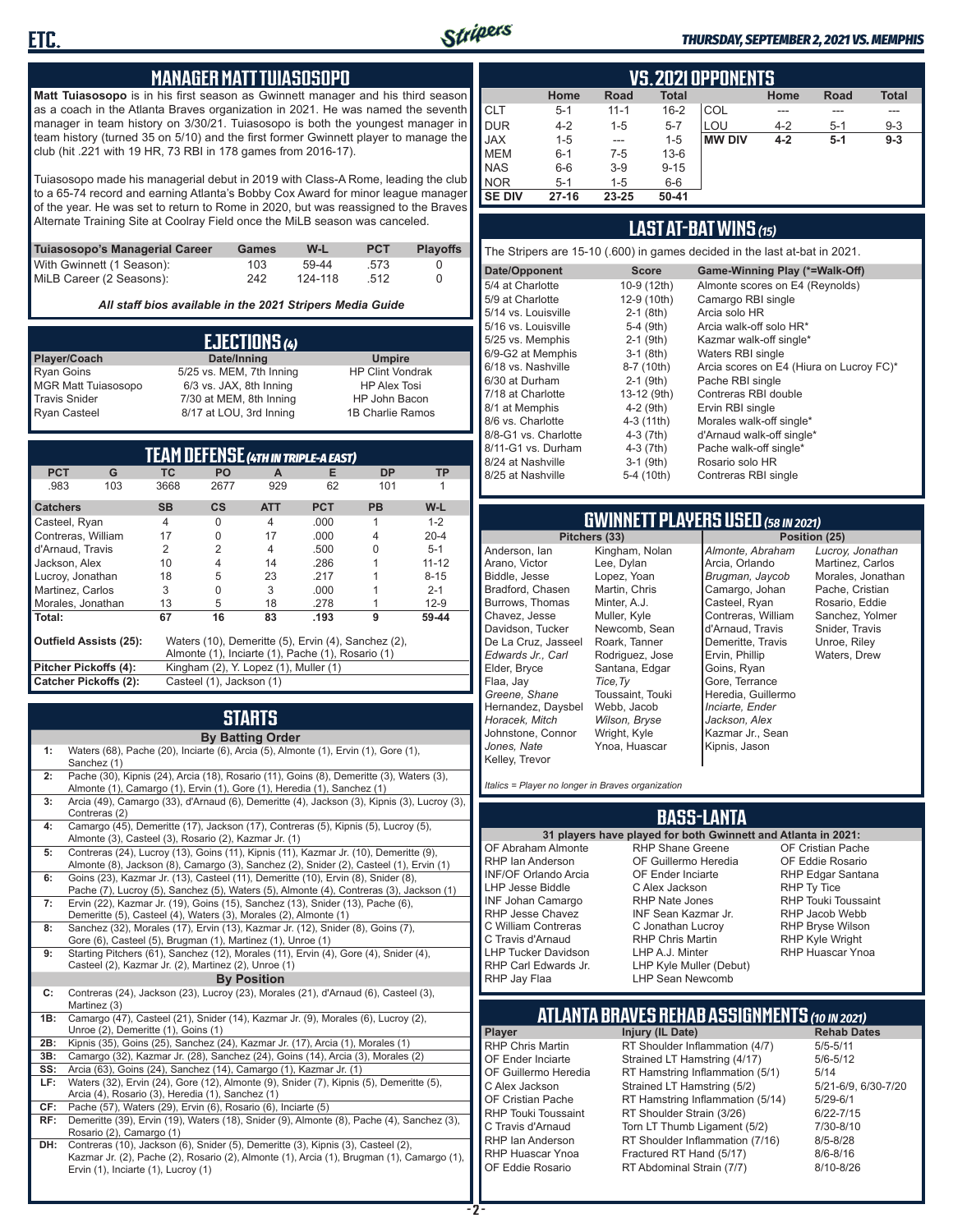

#### *THURSDAY, SEPTEMBER 2, 2021 VS. MEMPHIS*

#### **MANAGER MATT TUIASOSOPO**

**Matt Tuiasosopo** is in his first season as Gwinnett manager and his third season as a coach in the Atlanta Braves organization in 2021. He was named the seventh manager in team history on 3/30/21. Tuiasosopo is both the youngest manager in team history (turned 35 on 5/10) and the first former Gwinnett player to manage the club (hit .221 with 19 HR, 73 RBI in 178 games from 2016-17).

Tuiasosopo made his managerial debut in 2019 with Class-A Rome, leading the club to a 65-74 record and earning Atlanta's Bobby Cox Award for minor league manager of the year. He was set to return to Rome in 2020, but was reassigned to the Braves Alternate Training Site at Coolray Field once the MiLB season was canceled.

| Tuiasosopo's Managerial Career | Games | W-L     | <b>PCT</b> | <b>Plavoffs</b> |
|--------------------------------|-------|---------|------------|-----------------|
| With Gwinnett (1 Season):      | 103   | 59-44   | .573       |                 |
| MiLB Career (2 Seasons):       | 242   | 124-118 | -512       |                 |

*All staff bios available in the 2021 Stripers Media Guide*

|                            | EJECTIONS (4)            |                         |
|----------------------------|--------------------------|-------------------------|
| Player/Coach               | Date/Inning              | <b>Umpire</b>           |
| <b>Ryan Goins</b>          | 5/25 vs. MEM, 7th Inning | <b>HP Clint Vondrak</b> |
| <b>MGR Matt Tuiasosopo</b> | 6/3 vs. JAX, 8th Inning  | <b>HP Alex Tosi</b>     |
| <b>Travis Snider</b>       | 7/30 at MEM, 8th Inning  | HP John Bacon           |
| <b>Ryan Casteel</b>        | 8/17 at LOU, 3rd Inning  | 1B Charlie Ramos        |

|                               |     |                          |                                       |                | TEAM DEFENSE (4TH IN TRIPLE-A EAST)                 |           |           |  |  |  |  |  |
|-------------------------------|-----|--------------------------|---------------------------------------|----------------|-----------------------------------------------------|-----------|-----------|--|--|--|--|--|
| <b>PCT</b>                    | G   | ТC                       | <b>PO</b>                             | A              | Е                                                   | <b>DP</b> | <b>TP</b> |  |  |  |  |  |
| .983                          | 103 | 3668                     | 2677                                  | 929            | 62                                                  | 101       |           |  |  |  |  |  |
| <b>Catchers</b>               |     | <b>SB</b>                | $\mathsf{cs}$                         | <b>ATT</b>     | <b>PCT</b>                                          | <b>PB</b> | W-L       |  |  |  |  |  |
| Casteel, Ryan                 |     | $\overline{4}$           | $\Omega$                              | $\overline{4}$ | .000                                                | 1         | $1 - 2$   |  |  |  |  |  |
| Contreras, William            |     | 17                       | $\Omega$                              | 17             | .000                                                | 4         | $20 - 4$  |  |  |  |  |  |
| d'Arnaud, Travis              |     | 2                        | 2                                     | $\overline{4}$ | .500                                                | U         | $5 - 1$   |  |  |  |  |  |
| Jackson, Alex                 |     | 10                       | $\overline{4}$                        | 14             | .286                                                |           | $11 - 12$ |  |  |  |  |  |
| Lucroy, Jonathan              |     | 18                       | 5                                     | 23             | .217                                                |           | $8 - 15$  |  |  |  |  |  |
| Martinez, Carlos              |     | 3                        | $\Omega$                              | 3              | .000                                                |           | $2 - 1$   |  |  |  |  |  |
| Morales, Jonathan             |     | 13                       | 5                                     | 18             | .278                                                |           | $12-9$    |  |  |  |  |  |
| Total:                        |     | 67                       | 16                                    | 83             | .193                                                | 9         | 59-44     |  |  |  |  |  |
| <b>Outfield Assists (25):</b> |     |                          |                                       |                | Waters (10), Demeritte (5), Ervin (4), Sanchez (2), |           |           |  |  |  |  |  |
|                               |     |                          |                                       |                | Almonte (1), Inciarte (1), Pache (1), Rosario (1)   |           |           |  |  |  |  |  |
| Pitcher Pickoffs (4):         |     |                          | Kingham (2), Y. Lopez (1), Muller (1) |                |                                                     |           |           |  |  |  |  |  |
| <b>Catcher Pickoffs (2):</b>  |     | Casteel (1), Jackson (1) |                                       |                |                                                     |           |           |  |  |  |  |  |

# **STARTS**

|     | <b>By Batting Order</b>                                                                                                                                                                                              |
|-----|----------------------------------------------------------------------------------------------------------------------------------------------------------------------------------------------------------------------|
| 1:  | Waters (68), Pache (20), Inciarte (6), Arcia (5), Almonte (1), Ervin (1), Gore (1),<br>Sanchez (1)                                                                                                                   |
| 2:  | Pache (30), Kipnis (24), Arcia (18), Rosario (11), Goins (8), Demeritte (3), Waters (3),<br>Almonte (1), Camargo (1), Ervin (1), Gore (1), Heredia (1), Sanchez (1)                                                  |
| 3:  | Arcia (49), Camargo (33), d'Arnaud (6), Demeritte (4), Jackson (3), Kipnis (3), Lucroy (3),<br>Contreras (2)                                                                                                         |
| 4:  | Camargo (45), Demeritte (17), Jackson (17), Contreras (5), Kipnis (5), Lucroy (5),<br>Almonte (3), Casteel (3), Rosario (2), Kazmar Jr. (1)                                                                          |
| 5:  | Contreras (24), Lucroy (13), Goins (11), Kipnis (11), Kazmar Jr. (10), Demeritte (9),<br>Almonte (8), Jackson (8), Camargo (3), Sanchez (2), Snider (2), Casteel (1), Ervin (1)                                      |
| 6:  | Goins (23), Kazmar Jr. (13), Casteel (11), Demeritte (10), Ervin (8), Snider (8),<br>Pache (7), Lucroy (5), Sanchez (5), Waters (5), Almonte (4), Contreras (3), Jackson (1)                                         |
| 7:  | Ervin (22), Kazmar Jr. (19), Goins (15), Sanchez (13), Snider (13), Pache (6),<br>Demeritte (5), Casteel (4), Waters (3), Morales (2), Almonte (1)                                                                   |
| 8:  | Sanchez (32), Morales (17), Ervin (13), Kazmar Jr. (12), Snider (8), Goins (7),<br>Gore (6), Casteel (5), Brugman (1), Martinez (1), Unroe (1)                                                                       |
| 9:  | Starting Pitchers (61), Sanchez (12), Morales (11), Ervin (4), Gore (4), Snider (4),<br>Casteel (2), Kazmar Jr. (2), Martinez (2), Unroe (1)                                                                         |
|     | <b>By Position</b>                                                                                                                                                                                                   |
| C:  | Contreras (24), Jackson (23), Lucroy (23), Morales (21), d'Arnaud (6), Casteel (3),<br>Martinez (3)                                                                                                                  |
| 1B: | Camargo (47), Casteel (21), Snider (14), Kazmar Jr. (9), Morales (6), Lucroy (2),<br>Unroe (2), Demeritte (1), Goins (1)                                                                                             |
| 2B: | Kipnis (35), Goins (25), Sanchez (24), Kazmar Jr. (17), Arcia (1), Morales (1)                                                                                                                                       |
| 3B: | Camargo (32), Kazmar Jr. (28), Sanchez (24), Goins (14), Arcia (3), Morales (2)                                                                                                                                      |
| SS: | Arcia (63), Goins (24), Sanchez (14), Camargo (1), Kazmar Jr. (1)                                                                                                                                                    |
| LF: | Waters (32), Ervin (24), Gore (12), Almonte (9), Snider (7), Kipnis (5), Demeritte (5),<br>Arcia (4), Rosario (3), Heredia (1), Sanchez (1)                                                                          |
| CF: | Pache (57), Waters (29), Ervin (6), Rosario (6), Inciarte (5)                                                                                                                                                        |
| RF: | Demeritte (39), Ervin (19), Waters (18), Snider (9), Almonte (8), Pache (4), Sanchez (3),<br>Rosario (2), Camargo (1)                                                                                                |
| DH: | Contreras (10), Jackson (6), Snider (5), Demeritte (3), Kipnis (3), Casteel (2),<br>Kazmar Jr. (2), Pache (2), Rosario (2), Almonte (1), Arcia (1), Brugman (1), Camargo (1),<br>Ervin (1), Inciarte (1), Lucroy (1) |

|               | <b>VS.2021 OPPONENTS</b> |             |              |               |         |             |              |  |  |  |  |  |  |
|---------------|--------------------------|-------------|--------------|---------------|---------|-------------|--------------|--|--|--|--|--|--|
|               | Home                     | <b>Road</b> | <b>Total</b> |               | Home    | <b>Road</b> | <b>Total</b> |  |  |  |  |  |  |
| <b>CLT</b>    | $5 - 1$                  | $11 - 1$    | $16 - 2$     | COL           |         |             |              |  |  |  |  |  |  |
| <b>DUR</b>    | $4 - 2$                  | $1 - 5$     | $5 - 7$      | LOU           | $4 - 2$ | $5-1$       | $9 - 3$      |  |  |  |  |  |  |
| <b>JAX</b>    | $1 - 5$                  | $- - -$     | $1 - 5$      | <b>MW DIV</b> | $4 - 2$ | $5-1$       | $9 - 3$      |  |  |  |  |  |  |
| <b>MEM</b>    | $6 - 1$                  | $7 - 5$     | $13-6$       |               |         |             |              |  |  |  |  |  |  |
| <b>NAS</b>    | $6-6$                    | $3-9$       | $9 - 15$     |               |         |             |              |  |  |  |  |  |  |
| <b>NOR</b>    | $5-1$                    | 1-5         | $6-6$        |               |         |             |              |  |  |  |  |  |  |
| <b>SE DIV</b> | $27 - 16$                | 23-25       | 50-41        |               |         |             |              |  |  |  |  |  |  |

### **LAST AT-BAT WINS** *(15)*

The Stripers are 15-10 (.600) in games decided in the last at-bat in 2021.

| Date/Opponent        | <b>Score</b> | Game-Winning Play (*=Walk-Off)           |
|----------------------|--------------|------------------------------------------|
| 5/4 at Charlotte     | 10-9 (12th)  | Almonte scores on E4 (Reynolds)          |
| 5/9 at Charlotte     | 12-9 (10th)  | Camargo RBI single                       |
| 5/14 vs. Louisville  | $2-1$ (8th)  | Arcia solo HR                            |
| 5/16 vs. Louisville  | $5-4$ (9th)  | Arcia walk-off solo HR*                  |
| 5/25 vs. Memphis     | $2-1$ (9th)  | Kazmar walk-off single*                  |
| 6/9-G2 at Memphis    | $3-1$ (8th)  | Waters RBI single                        |
| 6/18 vs. Nashville   | 8-7 (10th)   | Arcia scores on E4 (Hiura on Lucroy FC)* |
| 6/30 at Durham       | $2-1$ (9th)  | Pache RBI single                         |
| 7/18 at Charlotte    | 13-12 (9th)  | Contreras RBI double                     |
| 8/1 at Memphis       | $4-2$ (9th)  | Ervin RBI single                         |
| 8/6 vs. Charlotte    | 4-3 (11th)   | Morales walk-off single*                 |
| 8/8-G1 vs. Charlotte | $4-3(7th)$   | d'Arnaud walk-off single*                |
| 8/11-G1 vs. Durham   | $4-3$ (7th)  | Pache walk-off single*                   |
| 8/24 at Nashville    | $3-1$ (9th)  | Rosario solo HR                          |
| 8/25 at Nashville    | 5-4 (10th)   | Contreras RBI single                     |
|                      |              |                                          |

# **GWINNETT PLAYERS USED** *(58 IN 2021)*

**Pitchers (33)** Anderson, Ian Arano, Victor Biddle, Jesse Bradford, Chasen Burrows, Thomas Chavez, Jesse Davidson, Tucker De La Cruz, Jasseel *Edwards Jr., Carl* Elder, Bryce Flaa, Jay *Greene, Shane*  Hernandez, Daysbel *Horacek, Mitch* Johnstone, Connor *Jones, Nate* Kelley, Trevor Kingham, Nolan Lee, Dylan Lopez, Yoan Martin, Chris Minter, A.J. Muller, Kyle Newcomb, Sean Roark, Tanner Rodriguez, Jose Santana, Edgar *Tice,Ty* Toussaint, Touki Webb, Jacob *Wilson, Bryse* Wright, Kyle Ynoa, Huascar

*Almonte, Abraham* Arcia, Orlando *Brugman, Jaycob* Camargo, Johan Casteel, Ryan Contreras, William d'Arnaud, Travis Demeritte, Travis Ervin, Phillip Goins, Ryan Gore, Terrance Heredia, Guillermo *Inciarte, Ender Jackson, Alex* Kazmar Jr., Sean Kipnis, Jason

*Lucroy, Jonathan* Martinez, Carlos Morales, Jonathan Pache, Cristian Rosario, Eddie Sanchez, Yolmer Snider, Travis Unroe, Riley Waters, Drew

*Italics = Player no longer in Braves organization*

#### **BASS-LANTA**

OF Abraham Almonte RHP Ian Anderson INF/OF Orlando Arcia LHP Jesse Biddle INF Johan Camargo RHP Jesse Chavez C William Contreras C Travis d'Arnaud LHP Tucker Davidson RHP Carl Edwards Jr. RHP Jay Flaa

**31 players have played for both Gwinnett and Atlanta in 2021:** RHP Shane Greene OF Guillermo Heredia OF Ender Inciarte C Alex Jackson RHP Nate Jones INF Sean Kazmar Jr. C Jonathan Lucroy RHP Chris Martin LHP A.J. Minter LHP Kyle Muller (Debut) LHP Sean Newcomb

OF Cristian Pache OF Eddie Rosario RHP Edgar Santana RHP Ty Tice RHP Touki Toussaint RHP Jacob Webb RHP Bryse Wilson RHP Kyle Wright RHP Huascar Ynoa

## **ATLANTA BRAVES REHAB ASSIGNMENTS** *(10 IN 2021)*

**Player Injury (IL Date)** 

RHP Chris Martin RT Shoulder Inflammation (4/7) 5/5-5/11<br>OF Ender Inciarte Strained LT Hamstring (4/17) 5/6-5/12 OF Ender Inciarte Strained LT Hamstring (4/17)<br>OF Guillermo Heredia RT Hamstring Inflammation (5) RT Hamstring Inflammation (5/1) 5/14 C Alex Jackson Strained LT Hamstring (5/2) 5/21-6/9, 6/30-7/20 OF Cristian Pache RT Hamstring Inflammation (5/14) 5/29-6/1<br>RHP Touki Toussaint RT Shoulder Strain (3/26) 6/22-7/15 RHP Touki Toussaint RT Shoulder Strain (3/26) 6/22-7/15<br>C. Travis d'Arnaud C. Torn LT Thumb Ligament (5/2) 6/10-8/10 Torn LT Thumb Ligament (5/2) RHP Ian Anderson RT Shoulder Inflammation (7/16) 8/5-8/28<br>RHP Huascar Ynoa Fractured RT Hand (5/17) 8/6-8/16 RHP Huascar Ynoa Fractured RT Hand (5/17) 8/6-8/16 RT Abdominal Strain (7/7)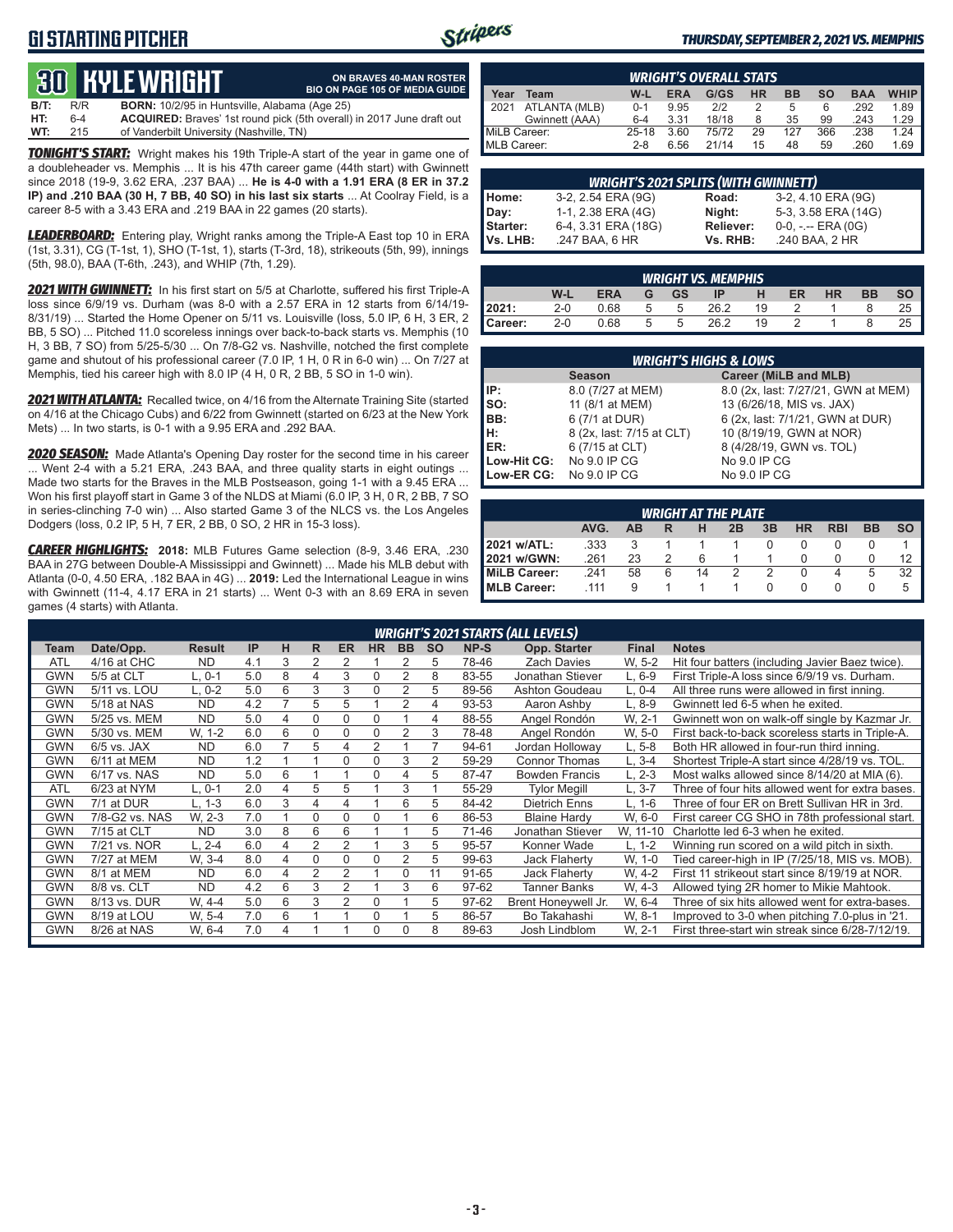## **G1 STARTING PITCHER**



**ON BRAVES 40-MAN ROSTER**

#### *THURSDAY, SEPTEMBER 2, 2021 VS. MEMPHIS*

# **30****KYLE WRIGHT**

|      |     | <u>tus bible white in</u>                            | <b>BIO ON PAGE 105 OF MEDIA GUIDE</b>                                        |
|------|-----|------------------------------------------------------|------------------------------------------------------------------------------|
| B/T: | R/R | <b>BORN:</b> 10/2/95 in Huntsville, Alabama (Age 25) |                                                                              |
| HT:  | 6-4 |                                                      | <b>ACQUIRED:</b> Braves' 1st round pick (5th overall) in 2017 June draft out |
| WT:  | 215 | of Vanderbilt University (Nashville, TN)             |                                                                              |

*TONIGHT'S START:* Wright makes his 19th Triple-A start of the year in game one of a doubleheader vs. Memphis ... It is his 47th career game (44th start) with Gwinnett since 2018 (19-9, 3.62 ERA, .237 BAA) ... **He is 4-0 with a 1.91 ERA (8 ER in 37.2 IP) and .210 BAA (30 H, 7 BB, 40 SO) in his last six starts** ... At Coolray Field, is a career 8-5 with a 3.43 ERA and .219 BAA in 22 games (20 starts).

*LEADERBOARD:* Entering play, Wright ranks among the Triple-A East top 10 in ERA (1st, 3.31), CG (T-1st, 1), SHO (T-1st, 1), starts (T-3rd, 18), strikeouts (5th, 99), innings (5th, 98.0), BAA (T-6th, .243), and WHIP (7th, 1.29).

*2021 WITH GWINNETT:* In his first start on 5/5 at Charlotte, suffered his first Triple-A loss since 6/9/19 vs. Durham (was 8-0 with a 2.57 ERA in 12 starts from 6/14/19- 8/31/19) ... Started the Home Opener on 5/11 vs. Louisville (loss, 5.0 IP, 6 H, 3 ER, 2 BB, 5 SO) ... Pitched 11.0 scoreless innings over back-to-back starts vs. Memphis (10 H, 3 BB, 7 SO) from 5/25-5/30 ... On 7/8-G2 vs. Nashville, notched the first complete game and shutout of his professional career (7.0 IP, 1 H, 0 R in 6-0 win) ... On 7/27 at Memphis, tied his career high with 8.0 IP (4 H, 0 R, 2 BB, 5 SO in 1-0 win).

*2021 WITH ATLANTA:* Recalled twice, on 4/16 from the Alternate Training Site (started on 4/16 at the Chicago Cubs) and 6/22 from Gwinnett (started on 6/23 at the New York Mets) ... In two starts, is 0-1 with a 9.95 ERA and .292 BAA.

*2020 SEASON:* Made Atlanta's Opening Day roster for the second time in his career ... Went 2-4 with a 5.21 ERA, .243 BAA, and three quality starts in eight outings ... Made two starts for the Braves in the MLB Postseason, going 1-1 with a 9.45 ERA ... Won his first playoff start in Game 3 of the NLDS at Miami (6.0 IP, 3 H, 0 R, 2 BB, 7 SO in series-clinching 7-0 win) ... Also started Game 3 of the NLCS vs. the Los Angeles Dodgers (loss, 0.2 IP, 5 H, 7 ER, 2 BB, 0 SO, 2 HR in 15-3 loss).

*CAREER HIGHLIGHTS:* **2018:** MLB Futures Game selection (8-9, 3.46 ERA, .230 BAA in 27G between Double-A Mississippi and Gwinnett) ... Made his MLB debut with Atlanta (0-0, 4.50 ERA, .182 BAA in 4G) ... **2019:** Led the International League in wins with Gwinnett (11-4, 4.17 ERA in 21 starts) ... Went 0-3 with an 8.69 ERA in seven games (4 starts) with Atlanta.

| <b>WRIGHT'S OVERALL STATS</b> |                                                                                                  |         |      |       |    |     |     |      |      |  |  |  |  |
|-------------------------------|--------------------------------------------------------------------------------------------------|---------|------|-------|----|-----|-----|------|------|--|--|--|--|
| Year                          | <b>WHIP</b><br>G/GS<br><b>HR</b><br>$W-L$<br><b>ERA</b><br><b>BB</b><br><b>BAA</b><br>so<br>Team |         |      |       |    |     |     |      |      |  |  |  |  |
| 12021                         | ATLANTA (MLB)                                                                                    | $0 - 1$ | 9.95 | 2/2   |    | 5   | 6   | .292 | 1.89 |  |  |  |  |
|                               | Gwinnett (AAA)                                                                                   | $6 - 4$ | 3.31 | 18/18 |    | 35  | 99  | .243 | 1.29 |  |  |  |  |
| MiLB Career:                  |                                                                                                  | 25-18   | 3.60 | 75/72 | 29 | 127 | 366 | .238 | 1.24 |  |  |  |  |
| MLB Career:                   |                                                                                                  | $2 - 8$ | 6.56 | 21/14 | 15 | 48  | 59  | .260 | 1.69 |  |  |  |  |

| <b>WRIGHT'S 2021 SPLITS (WITH GWINNETT)</b> |                     |                  |                       |  |  |  |  |  |  |  |  |
|---------------------------------------------|---------------------|------------------|-----------------------|--|--|--|--|--|--|--|--|
| Home:                                       | 3-2, 2.54 ERA (9G)  | Road:            | 3-2, 4.10 ERA (9G)    |  |  |  |  |  |  |  |  |
|                                             | 1-1, 2.38 ERA (4G)  | Night:           | 5-3, 3.58 ERA (14G)   |  |  |  |  |  |  |  |  |
|                                             | 6-4, 3.31 ERA (18G) | <b>Reliever:</b> | $0-0, - -$ ERA $(0G)$ |  |  |  |  |  |  |  |  |
| Day:<br>Starter:<br>Vs. LHB:                | .247 BAA, 6 HR      | Vs. RHB:         | .240 BAA, 2 HR        |  |  |  |  |  |  |  |  |

|                                                                                      | <b>WRIGHT VS. MEMPHIS</b> |      |   |    |      |    |  |  |  |    |  |  |  |
|--------------------------------------------------------------------------------------|---------------------------|------|---|----|------|----|--|--|--|----|--|--|--|
| W-L<br><b>ERA</b><br>ER<br><b>HR</b><br><b>BB</b><br><b>GS</b><br>н<br>SO<br>G<br>ΙP |                           |      |   |    |      |    |  |  |  |    |  |  |  |
| 2021:                                                                                | $2-0$                     | 0.68 |   | -5 | 26.2 | 19 |  |  |  | 25 |  |  |  |
| Career:                                                                              | $2 - 0$                   | 0.68 | 5 | -5 | 26.2 | 19 |  |  |  |    |  |  |  |

| <b>WRIGHT'S HIGHS &amp; LOWS</b>       |                           |                                     |  |  |  |  |  |  |  |  |  |
|----------------------------------------|---------------------------|-------------------------------------|--|--|--|--|--|--|--|--|--|
| Career (MiLB and MLB)<br><b>Season</b> |                           |                                     |  |  |  |  |  |  |  |  |  |
| l IP:                                  | 8.0 (7/27 at MEM)         | 8.0 (2x, last: 7/27/21, GWN at MEM) |  |  |  |  |  |  |  |  |  |
| Iso:                                   | 11 (8/1 at MEM)           | 13 (6/26/18, MIS vs. JAX)           |  |  |  |  |  |  |  |  |  |
| <b>IBB:</b>                            | 6 (7/1 at DUR)            | 6 (2x, last: 7/1/21, GWN at DUR)    |  |  |  |  |  |  |  |  |  |
| IH:                                    | 8 (2x, last: 7/15 at CLT) | 10 (8/19/19, GWN at NOR)            |  |  |  |  |  |  |  |  |  |
| <b>IER:</b>                            | 6 (7/15 at CLT)           | 8 (4/28/19, GWN vs. TOL)            |  |  |  |  |  |  |  |  |  |
| Low-Hit CG:                            | No 9.0 IP CG              | No 9.0 IP CG                        |  |  |  |  |  |  |  |  |  |
| Low-ER CG:                             | No 9.0 IP CG              | No 9.0 IP CG                        |  |  |  |  |  |  |  |  |  |

| <b>WRIGHT AT THE PLATE</b>                                   |      |    |   |    |  |   |   |  |   |    |  |  |
|--------------------------------------------------------------|------|----|---|----|--|---|---|--|---|----|--|--|
| AVG.<br><b>HR</b><br><b>RBI</b><br>3B<br>ВB<br>ΔR<br>2B<br>R |      |    |   |    |  |   |   |  |   |    |  |  |
| 2021 w/ATL:                                                  | .333 |    |   |    |  |   |   |  |   |    |  |  |
| 2021 w/GWN:                                                  | .261 | 23 |   |    |  |   |   |  |   |    |  |  |
| MiLB Career:                                                 | .241 | 58 | 6 | 14 |  | 2 | U |  | 5 | 32 |  |  |
| MLB Career:                                                  | 111  |    |   |    |  |   |   |  |   |    |  |  |

|            | <b>WRIGHT'S 2021 STARTS (ALL LEVELS)</b> |               |     |   |          |                |           |                |           |       |                       |              |                                                  |
|------------|------------------------------------------|---------------|-----|---|----------|----------------|-----------|----------------|-----------|-------|-----------------------|--------------|--------------------------------------------------|
| Team       | Date/Opp.                                | <b>Result</b> | IP  | н | R        | <b>ER</b>      | <b>HR</b> | <b>BB</b>      | <b>SO</b> | NP-S  | Opp. Starter          | <b>Final</b> | <b>Notes</b>                                     |
| ATL        | 4/16 at CHC                              | <b>ND</b>     | 4.1 | 3 | 2        |                |           |                | 5         | 78-46 | <b>Zach Davies</b>    | W. 5-2       | Hit four batters (including Javier Baez twice).  |
| GWN        | 5/5 at CLT                               | L. 0-1        | 5.0 | 8 | 4        | 3              | $\Omega$  |                | 8         | 83-55 | Jonathan Stiever      | $L.6-9$      | First Triple-A loss since 6/9/19 vs. Durham.     |
| GWN        | 5/11 vs. LOU                             | L. 0-2        | 5.0 | 6 | 3        | 3              | $\Omega$  |                | 5         | 89-56 | Ashton Goudeau        | L, 0-4       | All three runs were allowed in first inning.     |
| GWN        | 5/18 at NAS                              | <b>ND</b>     | 4.2 |   | 5        | 5              |           | $\overline{2}$ | 4         | 93-53 | Aaron Ashby           | $L.8-9$      | Gwinnett led 6-5 when he exited.                 |
| GWN        | 5/25 vs. MEM                             | <b>ND</b>     | 5.0 | 4 | $\Omega$ | $\Omega$       | $\Omega$  |                | 4         | 88-55 | Angel Rondón          | W. 2-1       | Gwinnett won on walk-off single by Kazmar Jr.    |
| <b>GWN</b> | 5/30 vs. MEM                             | W. 1-2        | 6.0 | 6 | $\Omega$ | $\Omega$       | $\Omega$  | $\overline{2}$ | 3         | 78-48 | Angel Rondón          | W, 5-0       | First back-to-back scoreless starts in Triple-A. |
| <b>GWN</b> | $6/5$ vs. JAX                            | <b>ND</b>     | 6.0 |   | 5        | 4              | 2         |                |           | 94-61 | Jordan Holloway       | $L, 5-8$     | Both HR allowed in four-run third inning.        |
| GWN        | 6/11 at MEM                              | <b>ND</b>     | 1.2 |   |          | $\Omega$       | 0         | 3              | 2         | 59-29 | <b>Connor Thomas</b>  | L. 3-4       | Shortest Triple-A start since 4/28/19 vs. TOL.   |
| GWN        | 6/17 vs. NAS                             | <b>ND</b>     | 5.0 | 6 |          |                | $\Omega$  | 4              | 5         | 87-47 | <b>Bowden Francis</b> | $L. 2-3$     | Most walks allowed since 8/14/20 at MIA (6).     |
| <b>ATL</b> | 6/23 at NYM                              | L. 0-1        | 2.0 | 4 | 5        | 5              |           | 3              |           | 55-29 | <b>Tylor Megill</b>   | $L.3 - 7$    | Three of four hits allowed went for extra bases. |
| GWN        | 7/1 at DUR                               | L. 1-3        | 6.0 | 3 | 4        | 4              |           | 6              | 5         | 84-42 | <b>Dietrich Enns</b>  | L, 1-6       | Three of four ER on Brett Sullivan HR in 3rd.    |
| GWN        | 7/8-G2 vs. NAS                           | W. 2-3        | 7.0 |   | $\Omega$ | $\Omega$       | $\Omega$  |                | 6         | 86-53 | <b>Blaine Hardy</b>   | W. 6-0       | First career CG SHO in 78th professional start.  |
| GWN        | 7/15 at CLT                              | <b>ND</b>     | 3.0 | 8 | 6        | 6              |           |                | 5         | 71-46 | Jonathan Stiever      | W, 11-10     | Charlotte led 6-3 when he exited.                |
| GWN        | 7/21 vs. NOR                             | $L. 2-4$      | 6.0 | 4 | 2        | 2              |           | 3              | 5         | 95-57 | Konner Wade           | $L, 1-2$     | Winning run scored on a wild pitch in sixth.     |
| GWN        | 7/27 at MEM                              | W. 3-4        | 8.0 | 4 | $\Omega$ | $\Omega$       | 0         | $\overline{2}$ | 5         | 99-63 | Jack Flaherty         | W, 1-0       | Tied career-high in IP (7/25/18, MIS vs. MOB).   |
| <b>GWN</b> | 8/1 at MEM                               | <b>ND</b>     | 6.0 | 4 | 2        | 2              |           | $\Omega$       | 11        | 91-65 | Jack Flaherty         | W. 4-2       | First 11 strikeout start since 8/19/19 at NOR.   |
| <b>GWN</b> | 8/8 vs. CLT                              | <b>ND</b>     | 4.2 | 6 | 3        | $\mathfrak{p}$ |           | 3              | 6         | 97-62 | <b>Tanner Banks</b>   | W. 4-3       | Allowed tying 2R homer to Mikie Mahtook.         |
| GWN        | 8/13 vs. DUR                             | W. 4-4        | 5.0 | 6 | 3        | 2              | 0         |                | 5         | 97-62 | Brent Honeywell Jr.   | W. 6-4       | Three of six hits allowed went for extra-bases.  |
| <b>GWN</b> | 8/19 at LOU                              | W. 5-4        | 7.0 | 6 |          |                | $\Omega$  |                | 5         | 86-57 | Bo Takahashi          | W. 8-1       | Improved to 3-0 when pitching 7.0-plus in '21.   |
| <b>GWN</b> | 8/26 at NAS                              | W, 6-4        | 7.0 | 4 |          |                | $\Omega$  | U              | 8         | 89-63 | Josh Lindblom         | W. 2-1       | First three-start win streak since 6/28-7/12/19. |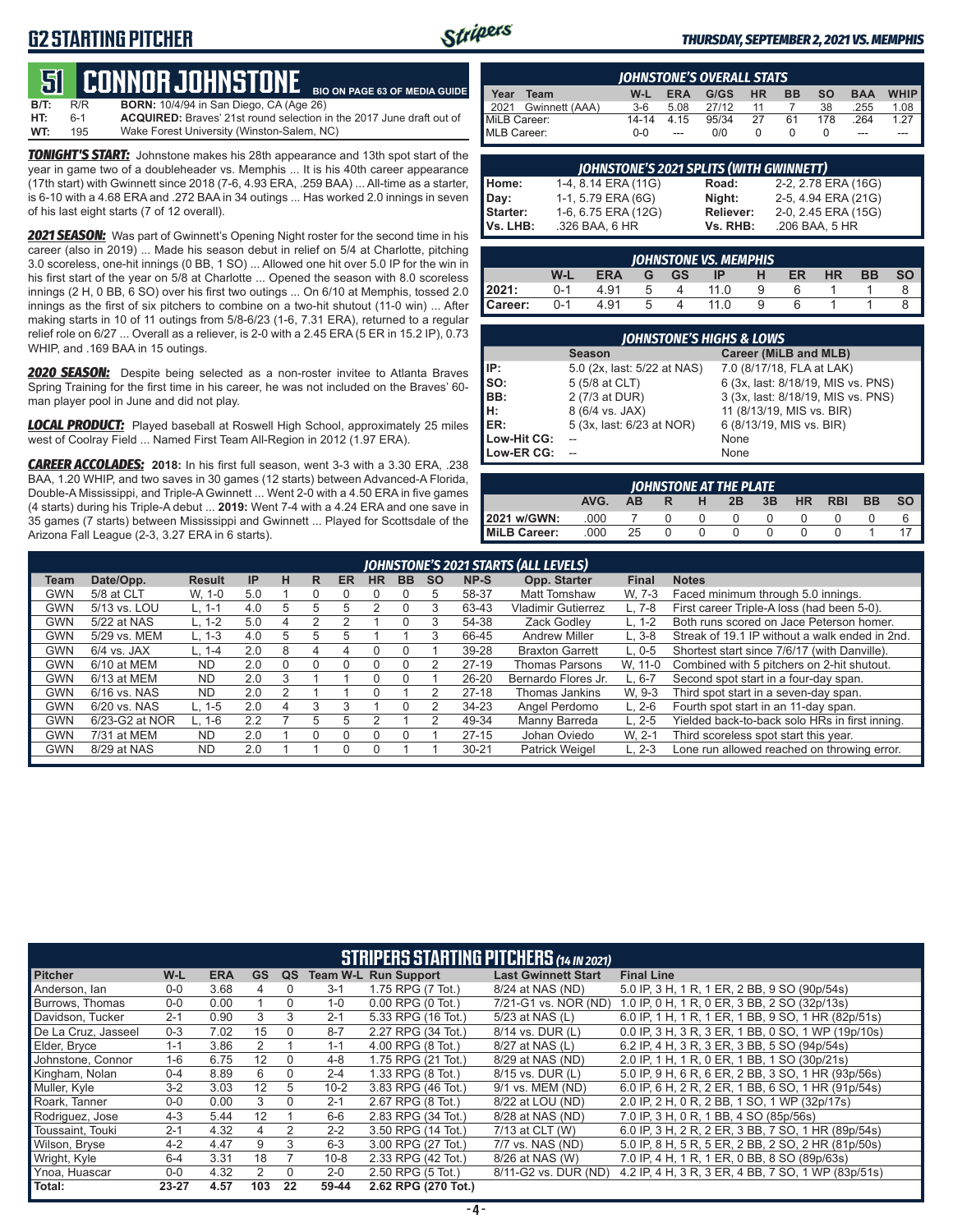## **G2 STARTING PITCHER**



**BIO ON PAGE 63 OF MEDIA GUIDE**

#### *THURSDAY, SEPTEMBER 2, 2021 VS. MEMPHIS*

# **51****CONNOR JOHNSTONE**

**B/T:** R/R **BORN:** 10/4/94 in San Diego, CA (Age 26) **HT:** 6-1 **ACQUIRED:** Braves' 21st round selection in the 2017 June draft out of Wake Forest University (Winston-Salem, NC)

*TONIGHT'S START:* Johnstone makes his 28th appearance and 13th spot start of the year in game two of a doubleheader vs. Memphis ... It is his 40th career appearance (17th start) with Gwinnett since 2018 (7-6, 4.93 ERA, .259 BAA) ... All-time as a starter, is 6-10 with a 4.68 ERA and .272 BAA in 34 outings ... Has worked 2.0 innings in seven of his last eight starts (7 of 12 overall).

*2021 SEASON:* Was part of Gwinnett's Opening Night roster for the second time in his career (also in 2019) ... Made his season debut in relief on 5/4 at Charlotte, pitching 3.0 scoreless, one-hit innings (0 BB, 1 SO) ... Allowed one hit over 5.0 IP for the win in his first start of the year on 5/8 at Charlotte ... Opened the season with 8.0 scoreless innings (2 H, 0 BB, 6 SO) over his first two outings ... On 6/10 at Memphis, tossed 2.0 innings as the first of six pitchers to combine on a two-hit shutout (11-0 win) ... After making starts in 10 of 11 outings from 5/8-6/23 (1-6, 7.31 ERA), returned to a regular relief role on 6/27 ... Overall as a reliever, is 2-0 with a 2.45 ERA (5 ER in 15.2 IP), 0.73 WHIP, and .169 BAA in 15 outings.

*2020 SEASON:* Despite being selected as a non-roster invitee to Atlanta Braves Spring Training for the first time in his career, he was not included on the Braves' 60 man player pool in June and did not play.

*LOCAL PRODUCT:* Played baseball at Roswell High School, approximately 25 miles west of Coolray Field ... Named First Team All-Region in 2012 (1.97 ERA).

*CAREER ACCOLADES:* **2018:** In his first full season, went 3-3 with a 3.30 ERA, .238 BAA, 1.20 WHIP, and two saves in 30 games (12 starts) between Advanced-A Florida, Double-A Mississippi, and Triple-A Gwinnett ... Went 2-0 with a 4.50 ERA in five games (4 starts) during his Triple-A debut ... **2019:** Went 7-4 with a 4.24 ERA and one save in 35 games (7 starts) between Mississippi and Gwinnett ... Played for Scottsdale of the Arizona Fall League (2-3, 3.27 ERA in 6 starts).

|              | <b>IOHNSTONE'S OVERALL STATS</b> |         |            |       |           |           |           |            |             |  |  |  |
|--------------|----------------------------------|---------|------------|-------|-----------|-----------|-----------|------------|-------------|--|--|--|
| Year         | Team                             | W-L     | <b>ERA</b> | G/GS  | <b>HR</b> | <b>BB</b> | <b>SO</b> | <b>BAA</b> | <b>WHIP</b> |  |  |  |
| 2021         | Gwinnett (AAA)                   | $3-6$   | 5.08       | 27/12 | 11        |           | 38        | .255       | 1.08        |  |  |  |
| MiLB Career: |                                  | 14-14   | 4.15       | 95/34 | 27        | 61        | 178       | .264       | 1.27        |  |  |  |
| MLB Career:  |                                  | $0 - 0$ | $-$        | 0/0   |           |           |           | ---        |             |  |  |  |

|          | <b>JOHNSTONE'S 2021 SPLITS (WITH GWINNETT)</b> |           |                     |  |  |  |  |  |  |  |
|----------|------------------------------------------------|-----------|---------------------|--|--|--|--|--|--|--|
| Home:    | 1-4, 8.14 ERA (11G)                            | Road:     | 2-2, 2.78 ERA (16G) |  |  |  |  |  |  |  |
| Day:     | 1-1, 5.79 ERA (6G)                             | Night:    | 2-5, 4.94 ERA (21G) |  |  |  |  |  |  |  |
| Starter: | 1-6, 6.75 ERA (12G)                            | Reliever: | 2-0, 2.45 ERA (15G) |  |  |  |  |  |  |  |
| Vs. LHB: | .326 BAA, 6 HR                                 | Vs. RHB:  | .206 BAA, 5 HR      |  |  |  |  |  |  |  |

|         | <b>IOHNSTONE VS. MEMPHIS</b> |            |                |           |      |   |    |    |           |           |  |  |  |  |
|---------|------------------------------|------------|----------------|-----------|------|---|----|----|-----------|-----------|--|--|--|--|
|         | W-L                          | <b>ERA</b> | G              | <b>GS</b> | IP   | н | ER | HR | <b>BB</b> | <b>SO</b> |  |  |  |  |
| 12021:  | $0 - 1$                      | 4.91       | h              |           | 11 N |   |    |    |           |           |  |  |  |  |
| Career: | $0 - 1$                      | 4.91       | $\overline{a}$ |           | 11 N | q |    |    |           |           |  |  |  |  |

|             | <b>JOHNSTONE'S HIGHS &amp; LOWS</b> |                                    |
|-------------|-------------------------------------|------------------------------------|
|             | <b>Season</b>                       | Career (MiLB and MLB)              |
| IP:         | 5.0 (2x, last: 5/22 at NAS)         | 7.0 (8/17/18, FLA at LAK)          |
| SO:         | 5 (5/8 at CLT)                      | 6 (3x, last: 8/18/19, MIS vs. PNS) |
| BB:         | 2 (7/3 at DUR)                      | 3 (3x, last: 8/18/19, MIS vs. PNS) |
| Įн:         | 8 (6/4 vs. JAX)                     | 11 (8/13/19, MIS vs. BIR)          |
| <b>IER:</b> | 5 (3x, last: 6/23 at NOR)           | 6 (8/13/19, MIS vs. BIR)           |
| Low-Hit CG: |                                     | None                               |
| Low-ER CG:  |                                     | None                               |

|              |      |    |   |          | JOHNSTONE AT THE PLATE |    |           |            |           |           |
|--------------|------|----|---|----------|------------------------|----|-----------|------------|-----------|-----------|
|              | AVG. | AВ | R | н        | 2B                     | 3B | <b>HR</b> | <b>RBI</b> | <b>BB</b> | <b>SO</b> |
| 2021 w/GWN:  | .000 |    |   | $\Omega$ | $^{\circ}$             |    |           |            |           |           |
| MiLB Career: | .000 | 25 |   | n        |                        |    |           |            |           |           |

|            |                |               |     |          |   |           |           |           |           |           | JOHNSTONE'S 2021 STARTS (ALL LEVELS) |              |                                                |
|------------|----------------|---------------|-----|----------|---|-----------|-----------|-----------|-----------|-----------|--------------------------------------|--------------|------------------------------------------------|
| Team       | Date/Opp.      | <b>Result</b> | IP  | н        | R | <b>ER</b> | <b>HR</b> | <b>BB</b> | <b>SO</b> | NP-S      | Opp. Starter                         | <b>Final</b> | <b>Notes</b>                                   |
| GWN        | 5/8 at CLT     | W. 1-0        | 5.0 |          |   |           |           |           | 5         | 58-37     | <b>Matt Tomshaw</b>                  | W. 7-3       | Faced minimum through 5.0 innings.             |
| GWN        | 5/13 vs. LOU   | $L. 1-1$      | 4.0 | 5        | h | h         |           |           | 3         | 63-43     | <b>Vladimir Gutierrez</b>            | L. 7-8       | First career Triple-A loss (had been 5-0).     |
| GWN        | 5/22 at NAS    | $L. 1-2$      | 5.0 | 4        |   |           |           |           | 3         | 54-38     | Zack Godlev                          | $L. 1-2$     | Both runs scored on Jace Peterson homer.       |
| <b>GWN</b> | 5/29 vs. MEM   | $L. 1-3$      | 4.0 | 5        | 5 | 'n        |           |           | 3         | 66-45     | <b>Andrew Miller</b>                 | $L.3-8$      | Streak of 19.1 IP without a walk ended in 2nd. |
| <b>GWN</b> | $6/4$ vs. JAX  | $L. 1 - 4$    | 2.0 | 8        | 4 | 4         |           |           |           | 39-28     | <b>Braxton Garrett</b>               | $L.0 - 5$    | Shortest start since 7/6/17 (with Danville).   |
| <b>GWN</b> | $6/10$ at MEM  | <b>ND</b>     | 2.0 | $\Omega$ |   |           |           |           |           | $27-19$   | <b>Thomas Parsons</b>                | W. 11-0      | Combined with 5 pitchers on 2-hit shutout.     |
| <b>GWN</b> | 6/13 at MEM    | <b>ND</b>     | 2.0 | 3        |   |           |           |           |           | 26-20     | Bernardo Flores Jr.                  | L. 6-7       | Second spot start in a four-day span.          |
| <b>GWN</b> | 6/16 vs. NAS   | <b>ND</b>     | 2.0 |          |   |           |           |           |           | $27-18$   | Thomas Jankins                       | W. 9-3       | Third spot start in a seven-day span.          |
| <b>GWN</b> | 6/20 vs. NAS   | L. 1-5        | 2.0 | 4        | 3 |           |           |           |           | $34 - 23$ | Angel Perdomo                        | L. 2-6       | Fourth spot start in an 11-day span.           |
| GWN        | 6/23-G2 at NOR | $L. 1-6$      | 2.2 |          | 5 | 5         |           |           | 2         | 49-34     | Manny Barreda                        | $L. 2 - 5$   | Yielded back-to-back solo HRs in first inning. |
| <b>GWN</b> | 7/31 at MEM    | <b>ND</b>     | 2.0 |          |   |           |           |           |           | $27-15$   | Johan Oviedo                         | W. 2-1       | Third scoreless spot start this year.          |
| <b>GWN</b> | 8/29 at NAS    | <b>ND</b>     | 2.0 |          |   |           |           |           |           | $30 - 21$ | <b>Patrick Weigel</b>                | $L. 2-3$     | Lone run allowed reached on throwing error.    |
|            |                |               |     |          |   |           |           |           |           |           |                                      |              |                                                |

|                     |           |            |               |          |          |                               | <b>STRIPERS STARTING PITCHERS</b> (14 IN 2021) |                                                    |
|---------------------|-----------|------------|---------------|----------|----------|-------------------------------|------------------------------------------------|----------------------------------------------------|
| <b>Pitcher</b>      | W-L       | <b>ERA</b> | <b>GS</b>     | QS       |          | <b>Team W-L Run Support</b>   | <b>Last Gwinnett Start</b>                     | <b>Final Line</b>                                  |
| Anderson, Ian       | $0-0$     | 3.68       | 4             | $\Omega$ | $3 - 1$  | 1.75 RPG (7 Tot.)             | 8/24 at NAS (ND)                               | 5.0 IP, 3 H, 1 R, 1 ER, 2 BB, 9 SO (90p/54s)       |
| Burrows. Thomas     | $0-0$     | 0.00       |               | 0        | 1-0      | $0.00$ RPG $(0 \text{ Tot.})$ | 7/21-G1 vs. NOR (ND)                           | 1.0 IP, 0 H, 1 R, 0 ER, 3 BB, 2 SO (32p/13s)       |
| Davidson, Tucker    | $2 - 1$   | 0.90       | 3             | 3        | $2 - 1$  | 5.33 RPG (16 Tot.)            | 5/23 at NAS (L)                                | 6.0 IP, 1 H, 1 R, 1 ER, 1 BB, 9 SO, 1 HR (82p/51s) |
| De La Cruz. Jasseel | $0 - 3$   | 7.02       | 15            | $\Omega$ | $8 - 7$  | 2.27 RPG (34 Tot.)            | 8/14 vs. DUR (L)                               | 0.0 IP, 3 H, 3 R, 3 ER, 1 BB, 0 SO, 1 WP (19p/10s) |
| Elder, Bryce        | $1 - 1$   | 3.86       | 2             |          | $1 - 1$  | 4.00 RPG (8 Tot.)             | 8/27 at NAS (L)                                | 6.2 IP, 4 H, 3 R, 3 ER, 3 BB, 5 SO (94p/54s)       |
| Johnstone, Connor   | $1 - 6$   | 6.75       | 12            | $\Omega$ | $4 - 8$  | 1.75 RPG (21 Tot.)            | 8/29 at NAS (ND)                               | 2.0 IP, 1 H, 1 R, 0 ER, 1 BB, 1 SO (30p/21s)       |
| Kingham, Nolan      | $0 - 4$   | 8.89       | 6             | $\Omega$ | $2 - 4$  | 1.33 RPG (8 Tot.)             | 8/15 vs. DUR (L)                               | 5.0 IP, 9 H, 6 R, 6 ER, 2 BB, 3 SO, 1 HR (93p/56s) |
| Muller, Kyle        | $3-2$     | 3.03       | 12            | 5        | $10 - 2$ | 3.83 RPG (46 Tot.)            | 9/1 vs. MEM (ND)                               | 6.0 IP, 6 H, 2 R, 2 ER, 1 BB, 6 SO, 1 HR (91p/54s) |
| Roark, Tanner       | $0-0$     | 0.00       | 3             | $\Omega$ | $2 - 1$  | 2.67 RPG (8 Tot.)             | 8/22 at LOU (ND)                               | 2.0 IP, 2 H, 0 R, 2 BB, 1 SO, 1 WP (32p/17s)       |
| Rodriguez, Jose     | $4 - 3$   | 5.44       | 12            |          | $6-6$    | 2.83 RPG (34 Tot.)            | 8/28 at NAS (ND)                               | 7.0 IP, 3 H, 0 R, 1 BB, 4 SO (85p/56s)             |
| Toussaint, Touki    | $2 - 1$   | 4.32       | 4             | 2        | $2 - 2$  | 3.50 RPG (14 Tot.)            | 7/13 at CLT (W)                                | 6.0 IP, 3 H, 2 R, 2 ER, 3 BB, 7 SO, 1 HR (89p/54s) |
| Wilson, Bryse       | $4 - 2$   | 4.47       | 9             | 3        | $6 - 3$  | 3.00 RPG (27 Tot.)            | 7/7 vs. NAS (ND)                               | 5.0 IP, 8 H, 5 R, 5 ER, 2 BB, 2 SO, 2 HR (81p/50s) |
| Wright, Kyle        | $6 - 4$   | 3.31       | 18            |          | $10 - 8$ | 2.33 RPG (42 Tot.)            | 8/26 at NAS (W)                                | 7.0 IP, 4 H, 1 R, 1 ER, 0 BB, 8 SO (89p/63s)       |
| Ynoa, Huascar       | $0 - 0$   | 4.32       | $\mathcal{P}$ | $\Omega$ | $2 - 0$  | 2.50 RPG (5 Tot.)             | 8/11-G2 vs. DUR (ND)                           | 4.2 IP, 4 H, 3 R, 3 ER, 4 BB, 7 SO, 1 WP (83p/51s) |
| Total:              | $23 - 27$ | 4.57       | 103           | 22       | 59-44    | 2.62 RPG (270 Tot.)           |                                                |                                                    |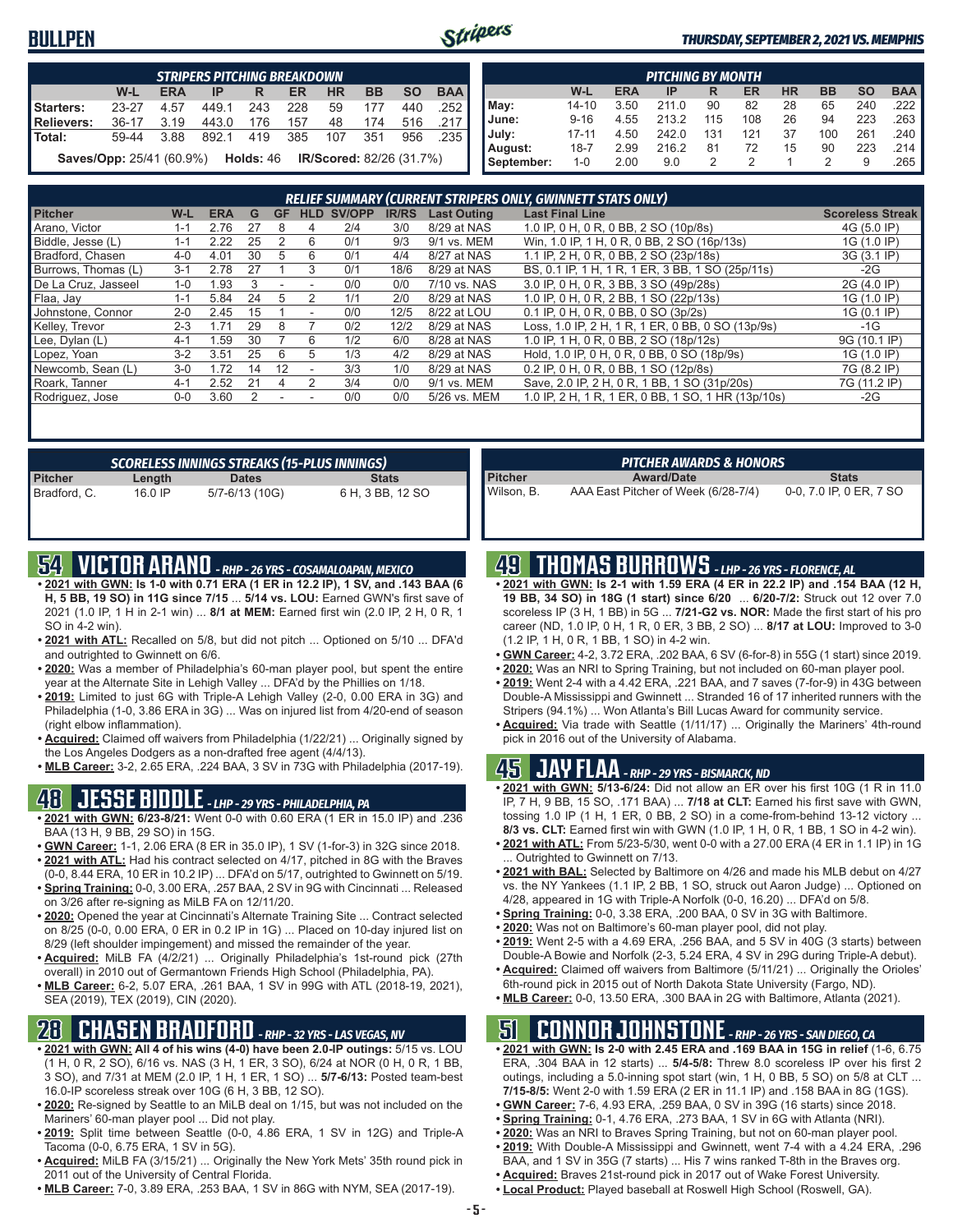### **BULLPEN**



#### *THURSDAY, SEPTEMBER 2, 2021 VS. MEMPHIS*

|            | <b>STRIPERS PITCHING BREAKDOWN</b>               |            |       |     |     |                                 |           |           |            |  |
|------------|--------------------------------------------------|------------|-------|-----|-----|---------------------------------|-----------|-----------|------------|--|
|            | W-L                                              | <b>ERA</b> | IP    | R   | ER  | <b>HR</b>                       | <b>BB</b> | <b>SO</b> | <b>BAA</b> |  |
| Starters:  | $23 - 27$                                        | 4.57       | 449.1 | 243 | 228 | 59                              | 177       | 440       | .252       |  |
| Relievers: | $36-17$                                          | 3.19       | 443.0 | 176 | 157 | 48                              | 174       | 516       | .217       |  |
| i Total:   | 59-44                                            | 3.88       | 8921  | 419 | 385 | 107                             | 351       | 956       | .235       |  |
|            | <b>Saves/Opp:</b> 25/41 (60.9%) <b>Holds:</b> 46 |            |       |     |     | <b>IR/Scored: 82/26 (31.7%)</b> |           |           |            |  |

|            |           |            | <b>PITCHING BY MONTH</b> |     |     |           |           |           |            |
|------------|-----------|------------|--------------------------|-----|-----|-----------|-----------|-----------|------------|
|            | W-L       | <b>ERA</b> | IP                       | R   | ER  | <b>HR</b> | <b>BB</b> | <b>SO</b> | <b>BAA</b> |
| May:       | $14 - 10$ | 3.50       | 211.0                    | 90  | 82  | 28        | 65        | 240       | .222       |
| June:      | $9 - 16$  | 4.55       | 213.2                    | 115 | 108 | 26        | 94        | 223       | .263       |
| July:      | $17 - 11$ | 4.50       | 242.0                    | 131 | 121 | 37        | 100       | 261       | .240       |
| August:    | 18-7      | 2.99       | 216.2                    | 81  | 72  | 15        | 90        | 223       | .214       |
| September: | 1-0       | 2.00       | 9.0                      |     |     |           | 2         | 9         | .265       |

|                     |         |            |    |    |            |        |              |                    | <b>RELIEF SUMMARY (CURRENT STRIPERS ONLY, GWINNETT STATS ONLY)</b> |                         |
|---------------------|---------|------------|----|----|------------|--------|--------------|--------------------|--------------------------------------------------------------------|-------------------------|
| <b>Pitcher</b>      | $W-L$   | <b>ERA</b> | G  | GF | <b>HLD</b> | SV/OPP | <b>IR/RS</b> | <b>Last Outing</b> | <b>Last Final Line</b>                                             | <b>Scoreless Streak</b> |
| Arano. Victor       | 1-1     | 2.76       | 27 | 8  | 4          | 2/4    | 3/0          | 8/29 at NAS        | 1.0 IP. 0 H. 0 R. 0 BB. 2 SO (10p/8s)                              | 4G (5.0 IP)             |
| Biddle, Jesse (L)   | $1 - 1$ | 2.22       | 25 | 2  | 6          | 0/1    | 9/3          | 9/1 vs. MEM        | Win, 1.0 IP, 1 H, 0 R, 0 BB, 2 SO (16p/13s)                        | 1G (1.0 IP)             |
| Bradford, Chasen    | $4 - 0$ | 4.01       | 30 | 5  | 6          | 0/1    | 4/4          | 8/27 at NAS        | 1.1 IP, 2 H, 0 R, 0 BB, 2 SO (23p/18s)                             | 3G (3.1 IP)             |
| Burrows, Thomas (L) | $3 - 1$ | 2.78       | 27 |    | 3          | 0/1    | 18/6         | 8/29 at NAS        | BS, 0.1 IP, 1 H, 1 R, 1 ER, 3 BB, 1 SO (25p/11s)                   | -2G                     |
| De La Cruz, Jasseel | $1 - 0$ | 1.93       | 3  |    |            | 0/0    | 0/0          | 7/10 vs. NAS       | 3.0 IP, 0 H, 0 R, 3 BB, 3 SO (49p/28s)                             | 2G (4.0 IP)             |
| Flaa, Jav           | $1 - 1$ | 5.84       | 24 | 5  |            | 1/1    | 2/0          | 8/29 at NAS        | 1.0 IP, 0 H, 0 R, 2 BB, 1 SO (22p/13s)                             | 1G (1.0 IP)             |
| Johnstone, Connor   | $2 - 0$ | 2.45       | 15 |    |            | 0/0    | 12/5         | 8/22 at LOU        | 0.1 IP, 0 H, 0 R, 0 BB, 0 SO (3p/2s)                               | 1G (0.1 IP)             |
| Kelley, Trevor      | $2 - 3$ | 171        | 29 | 8  |            | 0/2    | 12/2         | 8/29 at NAS        | Loss, 1.0 IP, 2 H, 1 R, 1 ER, 0 BB, 0 SO (13p/9s)                  | $-1G$                   |
| Lee, Dylan (L)      | $4-1$   | .59        | 30 |    | 6          | 1/2    | 6/0          | 8/28 at NAS        | 1.0 IP, 1 H, 0 R, 0 BB, 2 SO (18p/12s)                             | 9G (10.1 IP)            |
| Lopez, Yoan         | $3-2$   | 3.51       | 25 | 6  | 5          | 1/3    | 4/2          | 8/29 at NAS        | Hold, 1.0 IP, 0 H, 0 R, 0 BB, 0 SO (18p/9s)                        | 1G (1.0 IP)             |
| Newcomb, Sean (L)   | $3-0$   | 1.72       | 14 | 12 |            | 3/3    | 1/0          | 8/29 at NAS        | 0.2 IP, 0 H, 0 R, 0 BB, 1 SO (12p/8s)                              | 7G (8.2 IP)             |
| Roark, Tanner       | $4 - 1$ | 2.52       | 21 |    | 2          | 3/4    | 0/0          | 9/1 vs. MEM        | Save, 2.0 IP, 2 H, 0 R, 1 BB, 1 SO (31p/20s)                       | 7G (11.2 IP)            |
| Rodriguez, Jose     | $0-0$   | 3.60       | 2  |    |            | 0/0    | 0/0          | 5/26 vs. MEM       | 1.0 IP, 2 H, 1 R, 1 ER, 0 BB, 1 SO, 1 HR (13p/10s)                 | -2G                     |
|                     |         |            |    |    |            |        |              |                    |                                                                    |                         |

|                | SCORELESS INNINGS STREAKS (15-PLUS INNINGS) |                |                  |  |  |  |  |  |  |  |
|----------------|---------------------------------------------|----------------|------------------|--|--|--|--|--|--|--|
| <b>Pitcher</b> | Length                                      | <b>Dates</b>   | <b>Stats</b>     |  |  |  |  |  |  |  |
| Bradford, C.   | 16.0 IP                                     | 5/7-6/13 (10G) | 6 H, 3 BB, 12 SO |  |  |  |  |  |  |  |

### **54 VICTOR ARANO** *- RHP - 26 YRS - COSAMALOAPAN, MEXICO*

- **• 2021 with GWN: Is 1-0 with 0.71 ERA (1 ER in 12.2 IP), 1 SV, and .143 BAA (6 H, 5 BB, 19 SO) in 11G since 7/15** ... **5/14 vs. LOU:** Earned GWN's first save of 2021 (1.0 IP, 1 H in 2-1 win) ... **8/1 at MEM:** Earned first win (2.0 IP, 2 H, 0 R, 1 SO in 4-2 win).
- **• 2021 with ATL:** Recalled on 5/8, but did not pitch ... Optioned on 5/10 ... DFA'd and outrighted to Gwinnett on 6/6.
- **• 2020:** Was a member of Philadelphia's 60-man player pool, but spent the entire year at the Alternate Site in Lehigh Valley ... DFA'd by the Phillies on 1/18.
- **• 2019:** Limited to just 6G with Triple-A Lehigh Valley (2-0, 0.00 ERA in 3G) and Philadelphia (1-0, 3.86 ERA in 3G) ... Was on injured list from 4/20-end of season (right elbow inflammation).
- **• Acquired:** Claimed off waivers from Philadelphia (1/22/21) ... Originally signed by the Los Angeles Dodgers as a non-drafted free agent (4/4/13).
- **• MLB Career:** 3-2, 2.65 ERA, .224 BAA, 3 SV in 73G with Philadelphia (2017-19).

### **48 JESSE BIDDLE** *- LHP - 29 YRS - PHILADELPHIA, PA*

- **• 2021 with GWN: 6/23-8/21:** Went 0-0 with 0.60 ERA (1 ER in 15.0 IP) and .236 BAA (13 H, 9 BB, 29 SO) in 15G.
- **• GWN Career:** 1-1, 2.06 ERA (8 ER in 35.0 IP), 1 SV (1-for-3) in 32G since 2018. **• 2021 with ATL:** Had his contract selected on 4/17, pitched in 8G with the Braves
- (0-0, 8.44 ERA, 10 ER in 10.2 IP) ... DFA'd on 5/17, outrighted to Gwinnett on 5/19. **• Spring Training:** 0-0, 3.00 ERA, .257 BAA, 2 SV in 9G with Cincinnati ... Released
- on 3/26 after re-signing as MiLB FA on 12/11/20. **• 2020:** Opened the year at Cincinnati's Alternate Training Site ... Contract selected on 8/25 (0-0, 0.00 ERA, 0 ER in 0.2 IP in 1G) ... Placed on 10-day injured list on 8/29 (left shoulder impingement) and missed the remainder of the year.
- **• Acquired:** MiLB FA (4/2/21) ... Originally Philadelphia's 1st-round pick (27th overall) in 2010 out of Germantown Friends High School (Philadelphia, PA).
- **• MLB Career:** 6-2, 5.07 ERA, .261 BAA, 1 SV in 99G with ATL (2018-19, 2021), SEA (2019), TEX (2019), CIN (2020).

## **28 CHASEN BRADFORD** *- RHP - 32 YRS - LAS VEGAS, NV*

- **• 2021 with GWN: All 4 of his wins (4-0) have been 2.0-IP outings:** 5/15 vs. LOU (1 H, 0 R, 2 SO), 6/16 vs. NAS (3 H, 1 ER, 3 SO), 6/24 at NOR (0 H, 0 R, 1 BB, 3 SO), and 7/31 at MEM (2.0 IP, 1 H, 1 ER, 1 SO) ... **5/7-6/13:** Posted team-best 16.0-IP scoreless streak over 10G (6 H, 3 BB, 12 SO).
- **• 2020:** Re-signed by Seattle to an MiLB deal on 1/15, but was not included on the Mariners' 60-man player pool ... Did not play.
- **• 2019:** Split time between Seattle (0-0, 4.86 ERA, 1 SV in 12G) and Triple-A Tacoma (0-0, 6.75 ERA, 1 SV in 5G).
- **• Acquired:** MiLB FA (3/15/21) ... Originally the New York Mets' 35th round pick in 2011 out of the University of Central Florida.
- **• MLB Career:** 7-0, 3.89 ERA, .253 BAA, 1 SV in 86G with NYM, SEA (2017-19).

|                | <b>PITCHER AWARDS &amp; HONORS</b>  |                         |
|----------------|-------------------------------------|-------------------------|
|                |                                     |                         |
| <b>Pitcher</b> | <b>Award/Date</b>                   | <b>Stats</b>            |
| Wilson. B.     | AAA East Pitcher of Week (6/28-7/4) | 0-0, 7.0 IP, 0 ER, 7 SO |

### **49 THOMAS BURROWS** *- LHP - 26 YRS - FLORENCE, AL*

- **• 2021 with GWN: Is 2-1 with 1.59 ERA (4 ER in 22.2 IP) and .154 BAA (12 H, 19 BB, 34 SO) in 18G (1 start) since 6/20** ... **6/20-7/2:** Struck out 12 over 7.0 scoreless IP (3 H, 1 BB) in 5G ... **7/21-G2 vs. NOR:** Made the first start of his pro career (ND, 1.0 IP, 0 H, 1 R, 0 ER, 3 BB, 2 SO) ... **8/17 at LOU:** Improved to 3-0 (1.2 IP, 1 H, 0 R, 1 BB, 1 SO) in 4-2 win.
- **• GWN Career:** 4-2, 3.72 ERA, .202 BAA, 6 SV (6-for-8) in 55G (1 start) since 2019.
- **• 2020:** Was an NRI to Spring Training, but not included on 60-man player pool.
- **• 2019:** Went 2-4 with a 4.42 ERA, .221 BAA, and 7 saves (7-for-9) in 43G between Double-A Mississippi and Gwinnett ... Stranded 16 of 17 inherited runners with the Stripers (94.1%) ... Won Atlanta's Bill Lucas Award for community service.
- **• Acquired:** Via trade with Seattle (1/11/17) ... Originally the Mariners' 4th-round pick in 2016 out of the University of Alabama.

## **45 JAY FLAA** *- RHP - 29 YRS - BISMARCK, ND*

- **• 2021 with GWN: 5/13-6/24:** Did not allow an ER over his first 10G (1 R in 11.0 IP, 7 H, 9 BB, 15 SO, .171 BAA) ... **7/18 at CLT:** Earned his first save with GWN, tossing 1.0 IP (1 H, 1 ER, 0 BB, 2 SO) in a come-from-behind 13-12 victory ... **8/3 vs. CLT:** Earned first win with GWN (1.0 IP, 1 H, 0 R, 1 BB, 1 SO in 4-2 win).
- **• 2021 with ATL:** From 5/23-5/30, went 0-0 with a 27.00 ERA (4 ER in 1.1 IP) in 1G ... Outrighted to Gwinnett on 7/13.
- **• 2021 with BAL:** Selected by Baltimore on 4/26 and made his MLB debut on 4/27 vs. the NY Yankees (1.1 IP, 2 BB, 1 SO, struck out Aaron Judge) ... Optioned on 4/28, appeared in 1G with Triple-A Norfolk (0-0, 16.20) ... DFA'd on 5/8.
- **• Spring Training:** 0-0, 3.38 ERA, .200 BAA, 0 SV in 3G with Baltimore.
- **• 2020:** Was not on Baltimore's 60-man player pool, did not play.
- **• 2019:** Went 2-5 with a 4.69 ERA, .256 BAA, and 5 SV in 40G (3 starts) between Double-A Bowie and Norfolk (2-3, 5.24 ERA, 4 SV in 29G during Triple-A debut).
- **• Acquired:** Claimed off waivers from Baltimore (5/11/21) ... Originally the Orioles'
- 6th-round pick in 2015 out of North Dakota State University (Fargo, ND). **• MLB Career:** 0-0, 13.50 ERA, .300 BAA in 2G with Baltimore, Atlanta (2021).

### **51 CONNOR JOHNSTONE** *- RHP - 26 YRS - SAN DIEGO, CA*

- **• 2021 with GWN: Is 2-0 with 2.45 ERA and .169 BAA in 15G in relief** (1-6, 6.75 ERA, .304 BAA in 12 starts) ... **5/4-5/8:** Threw 8.0 scoreless IP over his first 2 outings, including a 5.0-inning spot start (win, 1 H, 0 BB, 5 SO) on 5/8 at CLT ... **7/15-8/5:** Went 2-0 with 1.59 ERA (2 ER in 11.1 IP) and .158 BAA in 8G (1GS).
- **• GWN Career:** 7-6, 4.93 ERA, .259 BAA, 0 SV in 39G (16 starts) since 2018. **• Spring Training:** 0-1, 4.76 ERA, .273 BAA, 1 SV in 6G with Atlanta (NRI).
- **• 2020:** Was an NRI to Braves Spring Training, but not on 60-man player pool.
- **• 2019:** With Double-A Mississippi and Gwinnett, went 7-4 with a 4.24 ERA, .296
- BAA, and 1 SV in 35G (7 starts) ... His 7 wins ranked T-8th in the Braves org.
- **• Acquired:** Braves 21st-round pick in 2017 out of Wake Forest University.
- **• Local Product:** Played baseball at Roswell High School (Roswell, GA).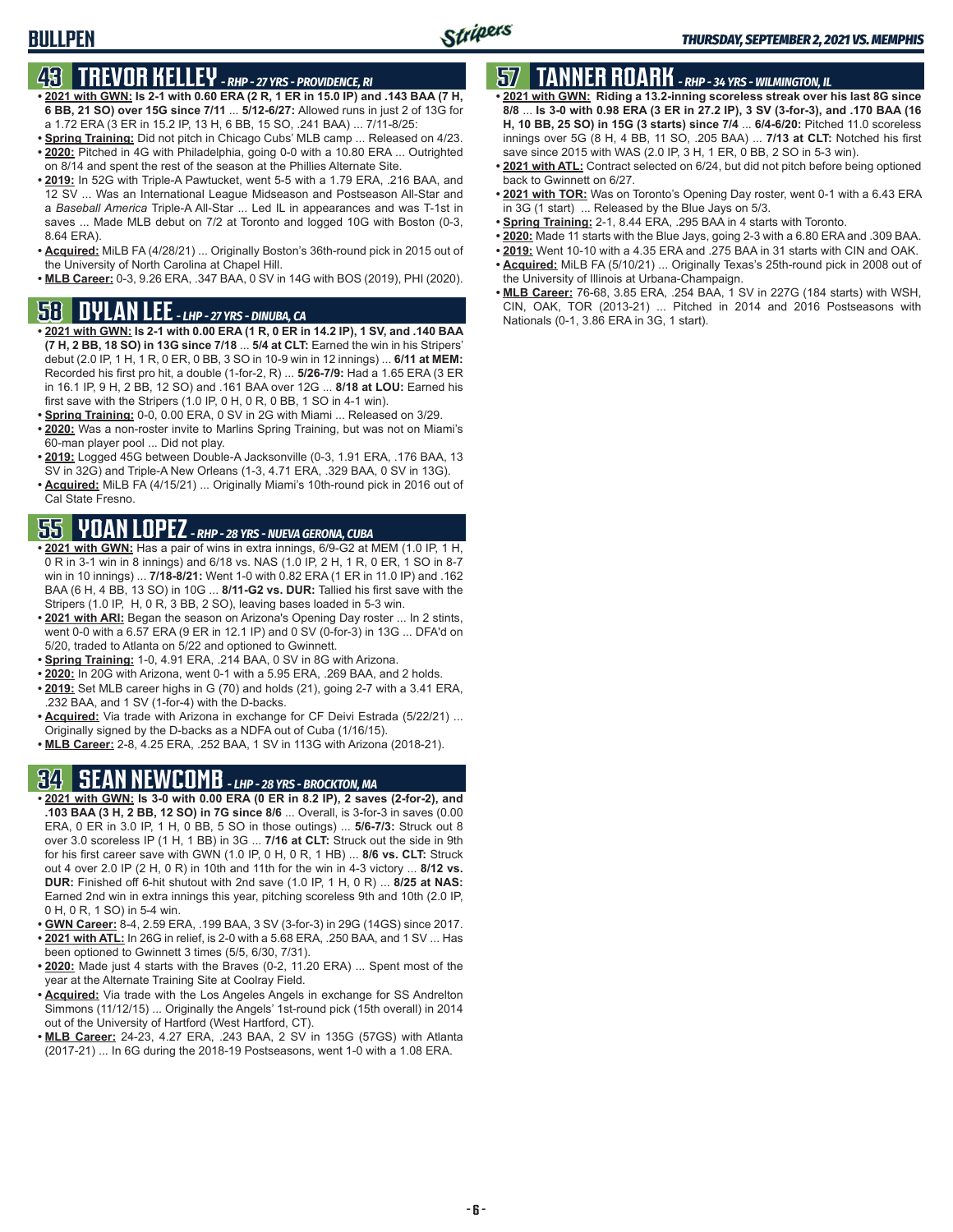## **43 TREVOR KELLEY** *- RHP - 27 YRS - PROVIDENCE, RI*

- **• 2021 with GWN: Is 2-1 with 0.60 ERA (2 R, 1 ER in 15.0 IP) and .143 BAA (7 H, 6 BB, 21 SO) over 15G since 7/11** ... **5/12-6/27:** Allowed runs in just 2 of 13G for a 1.72 ERA (3 ER in 15.2 IP, 13 H, 6 BB, 15 SO, .241 BAA) ... 7/11-8/25:
- **• Spring Training:** Did not pitch in Chicago Cubs' MLB camp ... Released on 4/23. **• 2020:** Pitched in 4G with Philadelphia, going 0-0 with a 10.80 ERA ... Outrighted on 8/14 and spent the rest of the season at the Phillies Alternate Site.
- **• 2019:** In 52G with Triple-A Pawtucket, went 5-5 with a 1.79 ERA, .216 BAA, and 12 SV ... Was an International League Midseason and Postseason All-Star and a *Baseball America* Triple-A All-Star ... Led IL in appearances and was T-1st in saves ... Made MLB debut on 7/2 at Toronto and logged 10G with Boston (0-3, 8.64 ERA).
- **• Acquired:** MiLB FA (4/28/21) ... Originally Boston's 36th-round pick in 2015 out of the University of North Carolina at Chapel Hill.
- **• MLB Career:** 0-3, 9.26 ERA, .347 BAA, 0 SV in 14G with BOS (2019), PHI (2020).

## **58 DYLAN LEE** *- LHP - 27 YRS - DINUBA, CA*

- **• 2021 with GWN: Is 2-1 with 0.00 ERA (1 R, 0 ER in 14.2 IP), 1 SV, and .140 BAA (7 H, 2 BB, 18 SO) in 13G since 7/18** ... **5/4 at CLT:** Earned the win in his Stripers' debut (2.0 IP, 1 H, 1 R, 0 ER, 0 BB, 3 SO in 10-9 win in 12 innings) ... **6/11 at MEM:** Recorded his first pro hit, a double (1-for-2, R) ... **5/26-7/9:** Had a 1.65 ERA (3 ER in 16.1 IP, 9 H, 2 BB, 12 SO) and .161 BAA over 12G ... **8/18 at LOU:** Earned his first save with the Stripers (1.0 IP, 0 H, 0 R, 0 BB, 1 SO in 4-1 win).
- **• Spring Training:** 0-0, 0.00 ERA, 0 SV in 2G with Miami ... Released on 3/29.
- **• 2020:** Was a non-roster invite to Marlins Spring Training, but was not on Miami's 60-man player pool ... Did not play.
- **• 2019:** Logged 45G between Double-A Jacksonville (0-3, 1.91 ERA, .176 BAA, 13 SV in 32G) and Triple-A New Orleans (1-3, 4.71 ERA, .329 BAA, 0 SV in 13G).
- **• Acquired:** MiLB FA (4/15/21) ... Originally Miami's 10th-round pick in 2016 out of Cal State Fresno.

# **55 YOAN LOPEZ** *- RHP - 28 YRS - NUEVA GERONA, CUBA*

- **• 2021 with GWN:** Has a pair of wins in extra innings, 6/9-G2 at MEM (1.0 IP, 1 H, 0 R in 3-1 win in 8 innings) and 6/18 vs. NAS (1.0 IP, 2 H, 1 R, 0 ER, 1 SO in 8-7 win in 10 innings) ... **7/18-8/21:** Went 1-0 with 0.82 ERA (1 ER in 11.0 IP) and .162 BAA (6 H, 4 BB, 13 SO) in 10G ... **8/11-G2 vs. DUR:** Tallied his first save with the Stripers (1.0 IP, H, 0 R, 3 BB, 2 SO), leaving bases loaded in 5-3 win.
- **• 2021 with ARI:** Began the season on Arizona's Opening Day roster ... In 2 stints, went 0-0 with a 6.57 ERA (9 ER in 12.1 IP) and 0 SV (0-for-3) in 13G ... DFA'd on 5/20, traded to Atlanta on 5/22 and optioned to Gwinnett.
- **• Spring Training:** 1-0, 4.91 ERA, .214 BAA, 0 SV in 8G with Arizona.
- **• 2020:** In 20G with Arizona, went 0-1 with a 5.95 ERA, .269 BAA, and 2 holds.
- **• 2019:** Set MLB career highs in G (70) and holds (21), going 2-7 with a 3.41 ERA, .232 BAA, and 1 SV (1-for-4) with the D-backs.
- **• Acquired:** Via trade with Arizona in exchange for CF Deivi Estrada (5/22/21) ... Originally signed by the D-backs as a NDFA out of Cuba (1/16/15).
- **• MLB Career:** 2-8, 4.25 ERA, .252 BAA, 1 SV in 113G with Arizona (2018-21).

## **34 SEAN NEWCOMB** *- LHP - 28 YRS - BROCKTON, MA*

- **• 2021 with GWN: Is 3-0 with 0.00 ERA (0 ER in 8.2 IP), 2 saves (2-for-2), and .103 BAA (3 H, 2 BB, 12 SO) in 7G since 8/6** ... Overall, is 3-for-3 in saves (0.00 ERA, 0 ER in 3.0 IP, 1 H, 0 BB, 5 SO in those outings) ... **5/6-7/3:** Struck out 8 over 3.0 scoreless IP (1 H, 1 BB) in 3G ... **7/16 at CLT:** Struck out the side in 9th for his first career save with GWN (1.0 IP, 0 H, 0 R, 1 HB) ... **8/6 vs. CLT:** Struck out 4 over 2.0 IP (2 H, 0 R) in 10th and 11th for the win in 4-3 victory ... **8/12 vs. DUR:** Finished off 6-hit shutout with 2nd save (1.0 IP, 1 H, 0 R) ... **8/25 at NAS:** Earned 2nd win in extra innings this year, pitching scoreless 9th and 10th (2.0 IP, 0 H, 0 R, 1 SO) in 5-4 win.
- **• GWN Career:** 8-4, 2.59 ERA, .199 BAA, 3 SV (3-for-3) in 29G (14GS) since 2017. **• 2021 with ATL:** In 26G in relief, is 2-0 with a 5.68 ERA, .250 BAA, and 1 SV ... Has
- been optioned to Gwinnett 3 times (5/5, 6/30, 7/31). **• 2020:** Made just 4 starts with the Braves (0-2, 11.20 ERA) ... Spent most of the
- year at the Alternate Training Site at Coolray Field.
- **• Acquired:** Via trade with the Los Angeles Angels in exchange for SS Andrelton Simmons (11/12/15) ... Originally the Angels' 1st-round pick (15th overall) in 2014 out of the University of Hartford (West Hartford, CT).
- **• MLB Career:** 24-23, 4.27 ERA, .243 BAA, 2 SV in 135G (57GS) with Atlanta (2017-21) ... In 6G during the 2018-19 Postseasons, went 1-0 with a 1.08 ERA.

# **57 TANNER ROARK** *- RHP - 34 YRS - WILMINGTON, IL*

- **• 2021 with GWN: Riding a 13.2-inning scoreless streak over his last 8G since 8/8** ... **Is 3-0 with 0.98 ERA (3 ER in 27.2 IP), 3 SV (3-for-3), and .170 BAA (16 H, 10 BB, 25 SO) in 15G (3 starts) since 7/4** ... **6/4-6/20:** Pitched 11.0 scoreless innings over 5G (8 H, 4 BB, 11 SO, .205 BAA) ... **7/13 at CLT:** Notched his first save since 2015 with WAS (2.0 IP, 3 H, 1 ER, 0 BB, 2 SO in 5-3 win).
- **• 2021 with ATL:** Contract selected on 6/24, but did not pitch before being optioned back to Gwinnett on 6/27.
- **• 2021 with TOR:** Was on Toronto's Opening Day roster, went 0-1 with a 6.43 ERA in 3G (1 start) ... Released by the Blue Jays on 5/3.
- **• Spring Training:** 2-1, 8.44 ERA, .295 BAA in 4 starts with Toronto.
- **• 2020:** Made 11 starts with the Blue Jays, going 2-3 with a 6.80 ERA and .309 BAA.
- **• 2019:** Went 10-10 with a 4.35 ERA and .275 BAA in 31 starts with CIN and OAK.
- **• Acquired:** MiLB FA (5/10/21) ... Originally Texas's 25th-round pick in 2008 out of the University of Illinois at Urbana-Champaign.
- **• MLB Career:** 76-68, 3.85 ERA, .254 BAA, 1 SV in 227G (184 starts) with WSH, CIN, OAK, TOR (2013-21) ... Pitched in 2014 and 2016 Postseasons with Nationals (0-1, 3.86 ERA in 3G, 1 start).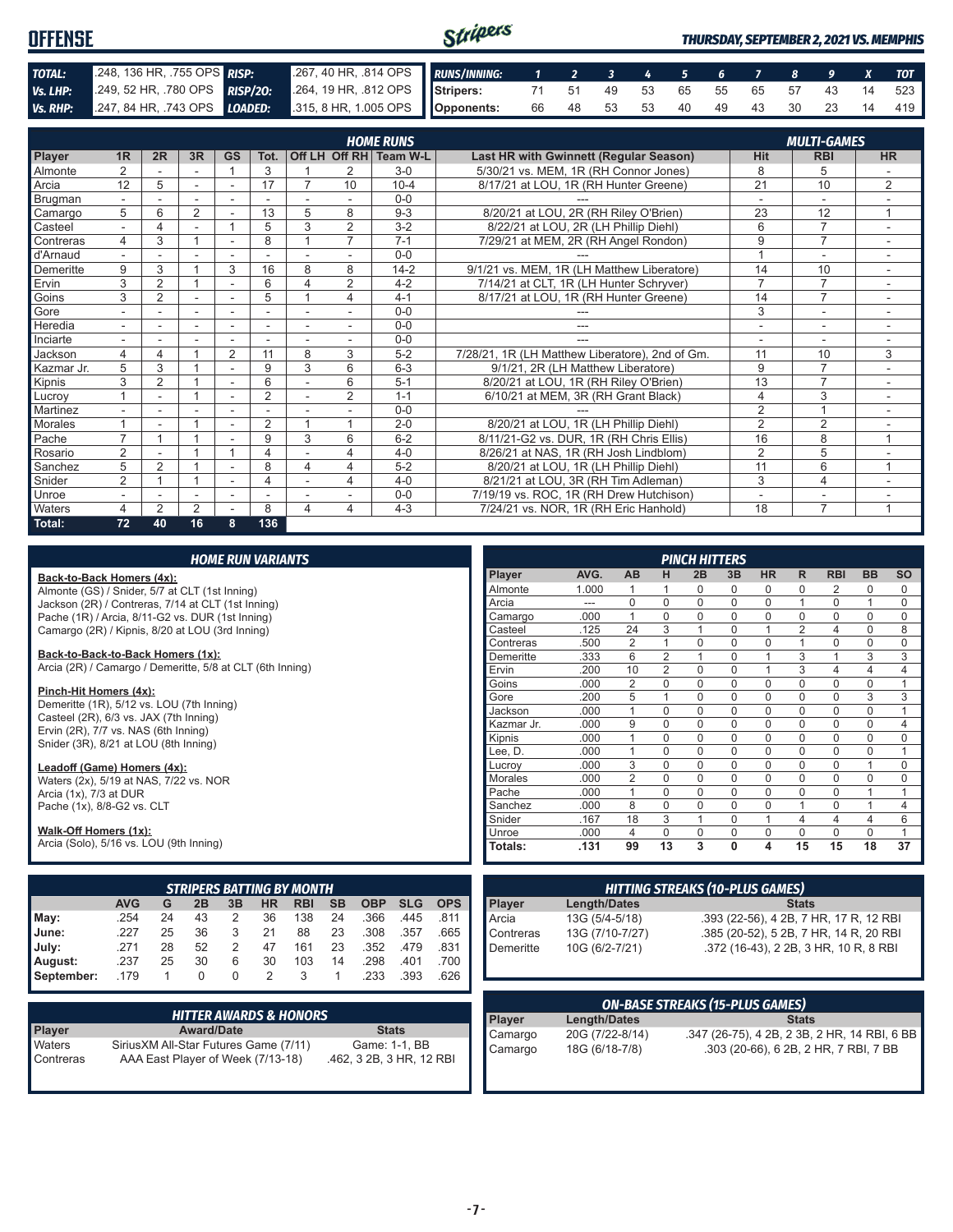| <b>OFFENSE</b> |                                                                                                       | Stripers<br><b>THURSDAY, SEPTEMBER 2, 2021 VS. MEMPHIS</b> |  |  |  |  |  |  |  |  |  |  |                                   |
|----------------|-------------------------------------------------------------------------------------------------------|------------------------------------------------------------|--|--|--|--|--|--|--|--|--|--|-----------------------------------|
| TOTAL:         | 248, 136 HR, 755 OPS RISP:                                                                            | 267, 40 HR, .814 OPS RUNS/INNING: 1 2 3 4 5 6 7 8 9 X TOT  |  |  |  |  |  |  |  |  |  |  |                                   |
| Vs. LHP:       | 249, 52 HR, 780 OPS RISP/20: 264, 19 HR, 812 OPS Stripers: 71 51 49 53 65 55 65 57 43 14 523          |                                                            |  |  |  |  |  |  |  |  |  |  |                                   |
|                | Vs. RHP: $247, 84$ HR, 743 OPS $\overline{L0ADED}$ : $315, 8$ HR, 1.005 OPS $\overline{O}$ Opponents: |                                                            |  |  |  |  |  |  |  |  |  |  | 66 48 53 53 40 49 43 30 23 14 419 |

|            |                          |                |                |                          |                |          |                | <b>HOME RUNS</b>       |                                                 |                          | <b>MULTI-GAMES</b> |                          |
|------------|--------------------------|----------------|----------------|--------------------------|----------------|----------|----------------|------------------------|-------------------------------------------------|--------------------------|--------------------|--------------------------|
| Player     | 1 <sub>R</sub>           | 2R             | 3R             | GS                       | Tot.           |          |                | Off LH Off RH Team W-L | Last HR with Gwinnett (Regular Season)          | <b>Hit</b>               | <b>RBI</b>         | <b>HR</b>                |
| Almonte    | $\overline{2}$           |                | ۰              |                          | 3              |          | 2              | $3-0$                  | 5/30/21 vs. MEM, 1R (RH Connor Jones)           | 8                        | 5                  |                          |
| Arcia      | 12                       | 5              |                | ۰                        | 17             | 7        | 10             | $10 - 4$               | 8/17/21 at LOU, 1R (RH Hunter Greene)           | 21                       | 10                 | $\overline{2}$           |
| Brugman    | $\sim$                   |                | ٠              | $\overline{\phantom{a}}$ |                |          |                | $0 - 0$                |                                                 | $\overline{\phantom{a}}$ | $\sim$             |                          |
| Camargo    | 5                        | 6              | 2              |                          | 13             | 5        | 8              | $9 - 3$                | 8/20/21 at LOU, 2R (RH Riley O'Brien)           | 23                       | 12                 | $\mathbf{1}$             |
| Casteel    |                          | 4              |                |                          | 5              | 3        | 2              | $3 - 2$                | 8/22/21 at LOU, 2R (LH Phillip Diehl)           | 6                        | $\overline{7}$     |                          |
| Contreras  | 4                        | 3              |                | $\overline{a}$           | 8              |          | $\overline{7}$ | $7 - 1$                | 7/29/21 at MEM, 2R (RH Angel Rondon)            | 9                        | $\overline{7}$     |                          |
| d'Arnaud   |                          |                |                | $\overline{\phantom{0}}$ |                |          |                | $0 - 0$                |                                                 |                          | ۰                  | ۰                        |
| Demeritte  | 9                        | 3              |                | 3                        | 16             | 8        | 8              | $14 - 2$               | 9/1/21 vs. MEM, 1R (LH Matthew Liberatore)      | 14                       | 10                 |                          |
| Ervin      | 3                        | 2              |                | $\overline{\phantom{a}}$ | 6              | $\Delta$ | $\overline{2}$ | $4 - 2$                | 7/14/21 at CLT, 1R (LH Hunter Schryver)         | $\overline{7}$           | $\overline{7}$     | ٠.                       |
| Goins      | 3                        | $\overline{2}$ |                |                          | 5              |          | 4              | $4 - 1$                | 8/17/21 at LOU, 1R (RH Hunter Greene)           | 14                       | $\overline{7}$     |                          |
| Gore       |                          |                | ۰              | ٠                        | ۰              |          |                | $0 - 0$                |                                                 | 3                        | $\overline{a}$     |                          |
| Heredia    | $\sim$                   |                | ۰              | ٠                        | ۰              |          |                | $0 - 0$                | ---                                             |                          | ۰                  |                          |
| Inciarte   | $\overline{\phantom{0}}$ |                |                | $\overline{\phantom{a}}$ |                |          |                | $0 - 0$                |                                                 | ٠                        | ٠                  |                          |
| Jackson    | 4                        | 4              |                | $\overline{2}$           | 11             | 8        | 3              | $5 - 2$                | 7/28/21, 1R (LH Matthew Liberatore), 2nd of Gm. | 11                       | 10                 | 3                        |
| Kazmar Jr. | 5                        | 3              |                |                          | 9              | 3        | 6              | $6 - 3$                | 9/1/21, 2R (LH Matthew Liberatore)              | 9                        | $\overline{7}$     |                          |
| Kipnis     | 3                        | $\overline{2}$ |                | ٠                        | 6              |          | 6              | $5-1$                  | 8/20/21 at LOU, 1R (RH Riley O'Brien)           | 13                       | $\overline{7}$     | $\sim$                   |
| Lucroy     |                          |                |                | ٠                        | $\overline{2}$ |          | 2              | $1 - 1$                | 6/10/21 at MEM, 3R (RH Grant Black)             | 4                        | 3                  | ٠                        |
| Martinez   |                          |                |                |                          |                |          |                | $0 - 0$                |                                                 | $\overline{2}$           | $\overline{4}$     |                          |
| Morales    |                          |                |                | ۰                        | $\overline{2}$ |          |                | $2 - 0$                | 8/20/21 at LOU, 1R (LH Phillip Diehl)           | $\overline{2}$           | $\overline{2}$     | $\overline{\phantom{a}}$ |
| Pache      | $\overline{ }$           |                |                |                          | 9              | 3        | 6              | $6 - 2$                | 8/11/21-G2 vs. DUR. 1R (RH Chris Ellis)         | 16                       | 8                  | 1                        |
| Rosario    | $\overline{2}$           |                |                |                          | 4              |          | 4              | $4 - 0$                | 8/26/21 at NAS, 1R (RH Josh Lindblom)           | $\overline{2}$           | 5                  |                          |
| Sanchez    | 5                        | $\overline{2}$ |                |                          | 8              | 4        | 4              | $5-2$                  | 8/20/21 at LOU, 1R (LH Phillip Diehl)           | 11                       | 6                  | $\overline{ }$           |
| Snider     | $\overline{2}$           |                |                | $\overline{\phantom{a}}$ | 4              |          | 4              | $4 - 0$                | 8/21/21 at LOU, 3R (RH Tim Adleman)             | 3                        | $\overline{4}$     |                          |
| Unroe      | $\overline{\phantom{a}}$ |                | ٠              | $\overline{\phantom{0}}$ | ٠              |          |                | $0 - 0$                | 7/19/19 vs. ROC, 1R (RH Drew Hutchison)         | $\blacksquare$           | ٠                  | ٠                        |
| Waters     | 4                        | $\overline{2}$ | $\overline{2}$ |                          | 8              | 4        | 4              | $4 - 3$                | 7/24/21 vs. NOR, 1R (RH Eric Hanhold)           | 18                       | $\overline{7}$     |                          |
| Total:     | 72                       | 40             | 16             | 8                        | 136            |          |                |                        |                                                 |                          |                    |                          |

| <b>HOME RUN VARIANTS</b>                                                      |            |    |    |    |           |                                  |           |            |            |            |                |                 |                                        |                | <b>PINCH HITTERS</b> |              |                         |                |                                        |           |                |
|-------------------------------------------------------------------------------|------------|----|----|----|-----------|----------------------------------|-----------|------------|------------|------------|----------------|-----------------|----------------------------------------|----------------|----------------------|--------------|-------------------------|----------------|----------------------------------------|-----------|----------------|
| Back-to-Back Homers (4x):                                                     |            |    |    |    |           |                                  |           |            |            |            | Player         | AVG.            | AB                                     | н              | 2B                   | 3B           | <b>HR</b>               | $\mathsf{R}$   | <b>RBI</b>                             | <b>BB</b> | <b>SO</b>      |
| Almonte (GS) / Snider, 5/7 at CLT (1st Inning)                                |            |    |    |    |           |                                  |           |            |            |            | Almonte        | 1.000           |                                        |                | 0                    | 0            | 0                       | $\Omega$       | 2                                      | 0         | $\Omega$       |
| Jackson (2R) / Contreras, 7/14 at CLT (1st Inning)                            |            |    |    |    |           |                                  |           |            | Arcia      | ---        | 0              | $\Omega$        | 0                                      | $\mathbf 0$    | $\Omega$             | $\mathbf{1}$ | $\mathbf 0$             | 1              | $\Omega$                               |           |                |
| Pache (1R) / Arcia, 8/11-G2 vs. DUR (1st Inning)                              |            |    |    |    |           |                                  |           |            |            |            | Camargo        | .000            | $\mathbf{1}$                           | $\Omega$       | $\Omega$             | $\mathbf 0$  | $\Omega$                | $\Omega$       | $\Omega$                               | $\Omega$  | $\Omega$       |
| Camargo (2R) / Kipnis, 8/20 at LOU (3rd Inning)                               |            |    |    |    |           |                                  |           |            |            |            | Casteel        | .125            | 24                                     | 3              | 1                    | $\mathbf 0$  | 1                       | $\overline{2}$ | $\overline{4}$                         | 0         | 8              |
|                                                                               |            |    |    |    |           |                                  |           |            |            |            | Contreras      | .500            | $\overline{2}$                         |                | 0                    | 0            | $\Omega$                | $\mathbf{1}$   | $\Omega$                               | $\Omega$  | $\Omega$       |
| Back-to-Back-to-Back Homers (1x):                                             |            |    |    |    |           |                                  |           |            |            |            | Demeritte      | .333            | 6                                      | $\overline{2}$ | 1                    | $\mathbf 0$  |                         | 3              |                                        | 3         | 3              |
| Arcia (2R) / Camargo / Demeritte, 5/8 at CLT (6th Inning)                     |            |    |    |    |           |                                  |           |            |            |            | Ervin          | .200            | 10                                     | $\overline{2}$ | 0                    | $\mathbf 0$  |                         | 3              | $\overline{4}$                         | 4         | $\overline{4}$ |
|                                                                               |            |    |    |    |           |                                  |           |            |            |            | Goins          | .000            | $\overline{2}$                         | $\Omega$       | 0                    | $\mathbf 0$  | 0                       | $\mathbf 0$    | $\Omega$                               | 0         | $\overline{1}$ |
| Pinch-Hit Homers (4x):                                                        |            |    |    |    |           |                                  |           |            |            |            | Gore           | .200            | 5                                      |                | $\Omega$             | $\mathbf 0$  | $\mathbf 0$             | $\mathbf 0$    | $\mathbf 0$                            | 3         | 3              |
| Demeritte (1R), 5/12 vs. LOU (7th Inning)                                     |            |    |    |    |           |                                  |           |            |            |            | Jackson        | .000            | $\mathbf{1}$                           | $\Omega$       | 0                    | $\mathbf 0$  | $\mathbf 0$             | $\mathbf 0$    | $\mathbf 0$                            | 0         |                |
| Casteel (2R), 6/3 vs. JAX (7th Inning)                                        |            |    |    |    |           |                                  |           |            |            |            | Kazmar Jr.     | .000            | 9                                      | $\mathbf 0$    | 0                    | $\mathbf 0$  | $\mathbf 0$             | $\mathbf 0$    | $\mathbf 0$                            | 0         | $\overline{4}$ |
| Ervin (2R), 7/7 vs. NAS (6th Inning)<br>Snider (3R), 8/21 at LOU (8th Inning) |            |    |    |    |           |                                  |           |            |            |            | Kipnis         | .000            | $\mathbf{1}$                           | 0              | 0                    | 0            | $\mathbf 0$             | $\mathbf 0$    | $\mathbf 0$                            | 0         | 0              |
|                                                                               |            |    |    |    |           |                                  |           |            |            |            | Lee. D.        | .000            | $\mathbf{1}$                           | 0              | 0                    | 0            | 0                       | $\mathbf 0$    | $\mathbf 0$                            | 0         | $\overline{ }$ |
| Leadoff (Game) Homers (4x):                                                   |            |    |    |    |           |                                  |           |            |            |            | Lucrov         | .000            | 3                                      | 0              | 0                    | 0            | $\mathbf 0$             | $\mathbf 0$    | $\mathbf 0$                            |           | $\mathbf 0$    |
| Waters (2x), 5/19 at NAS, 7/22 vs. NOR                                        |            |    |    |    |           |                                  |           |            |            |            | <b>Morales</b> | .000            | 2                                      | $\mathbf 0$    | 0                    | $\mathbf 0$  | 0                       | $\mathbf 0$    | $\mathbf 0$                            | 0         | $\Omega$       |
| Arcia (1x), 7/3 at DUR                                                        |            |    |    |    |           |                                  |           |            |            |            | Pache          | .000            | $\mathbf{1}$                           | $\Omega$       | $\Omega$             | $\mathbf 0$  | 0                       | $\Omega$       | $\Omega$                               |           |                |
| Pache (1x), 8/8-G2 vs. CLT                                                    |            |    |    |    |           |                                  |           |            |            |            | Sanchez        | .000            | 8                                      | 0              | 0                    | $\mathbf 0$  | 0                       | $\mathbf{1}$   | $\mathbf 0$                            |           | $\overline{4}$ |
|                                                                               |            |    |    |    |           |                                  |           |            |            |            | Snider         | .167            | 18                                     | 3              | 1                    | $\mathbf 0$  | $\overline{1}$          | 4              | 4                                      | 4         | 6              |
| Walk-Off Homers (1x):                                                         |            |    |    |    |           |                                  |           |            |            |            | Unroe          | .000            | 4                                      | $\mathbf 0$    | 0                    | 0            | 0                       | $\Omega$       | $\Omega$                               | 0         | $\overline{1}$ |
| Arcia (Solo), 5/16 vs. LOU (9th Inning)                                       |            |    |    |    |           |                                  |           |            |            |            | Totals:        | .131            | 99                                     | 13             | 3                    | $\mathbf{0}$ | $\overline{\mathbf{4}}$ | 15             | 15                                     | 18        | 37             |
|                                                                               |            |    |    |    |           |                                  |           |            |            |            |                |                 |                                        |                |                      |              |                         |                |                                        |           |                |
|                                                                               |            |    |    |    |           | <b>STRIPERS BATTING BY MONTH</b> |           |            |            |            |                |                 | <b>HITTING STREAKS (10-PLUS GAMES)</b> |                |                      |              |                         |                |                                        |           |                |
|                                                                               | <b>AVG</b> | G  | 2B | 3B | <b>HR</b> | <b>RBI</b>                       | <b>SB</b> | <b>OBP</b> | <b>SLG</b> | <b>OPS</b> | Player         | Length/Dates    |                                        |                |                      |              |                         | <b>Stats</b>   |                                        |           |                |
| May:                                                                          | .254       | 24 | 43 | 2  | 36        | 138                              | 24        | .366       | .445       | .811       | Arcia          | 13G (5/4-5/18)  |                                        |                |                      |              |                         |                | .393 (22-56), 4 2B, 7 HR, 17 R, 12 RBI |           |                |
| June:                                                                         | .227       | 25 | 36 | 3  | 21        | 88                               | 23        | .308       | .357       | .665       | Contreras      | 13G (7/10-7/27) |                                        |                |                      |              |                         |                | .385 (20-52), 5 2B, 7 HR, 14 R, 20 RBI |           |                |
| July:                                                                         | .271       | 28 | 52 | 2  | 47        | 161                              | 23        | .352       | .479       | .831       | Demeritte      | 10G (6/2-7/21)  |                                        |                |                      |              |                         |                | .372 (16-43), 2 2B, 3 HR, 10 R, 8 RBI  |           |                |
| August:                                                                       | .237       | 25 | 30 | 6  | 30        | 103                              | 14        | .298       | .401       | .700       |                |                 |                                        |                |                      |              |                         |                |                                        |           |                |

|                     | <b>HITTER AWARDS &amp; HONORS</b>                                           |                                           |
|---------------------|-----------------------------------------------------------------------------|-------------------------------------------|
| <b>Player</b>       | <b>Award/Date</b>                                                           | <b>Stats</b>                              |
| Waters<br>Contreras | Sirius XM All-Star Futures Game (7/11)<br>AAA East Player of Week (7/13-18) | Game: 1-1, BB<br>.462, 3 2B, 3 HR, 12 RBI |

**September:** .179 1 0 0 2 3 1 .233 .393 .626

| <b>ON-BASE STREAKS (15-PLUS GAMES)</b> |                     |                                              |  |  |  |  |  |  |
|----------------------------------------|---------------------|----------------------------------------------|--|--|--|--|--|--|
| Player                                 | <b>Length/Dates</b> | <b>Stats</b>                                 |  |  |  |  |  |  |
| Camargo                                | 20G (7/22-8/14)     | .347 (26-75), 4 2B, 2 3B, 2 HR, 14 RBI, 6 BB |  |  |  |  |  |  |
| Camargo                                | 18G (6/18-7/8)      | .303 (20-66), 6 2B, 2 HR, 7 RBI, 7 BB        |  |  |  |  |  |  |
|                                        |                     |                                              |  |  |  |  |  |  |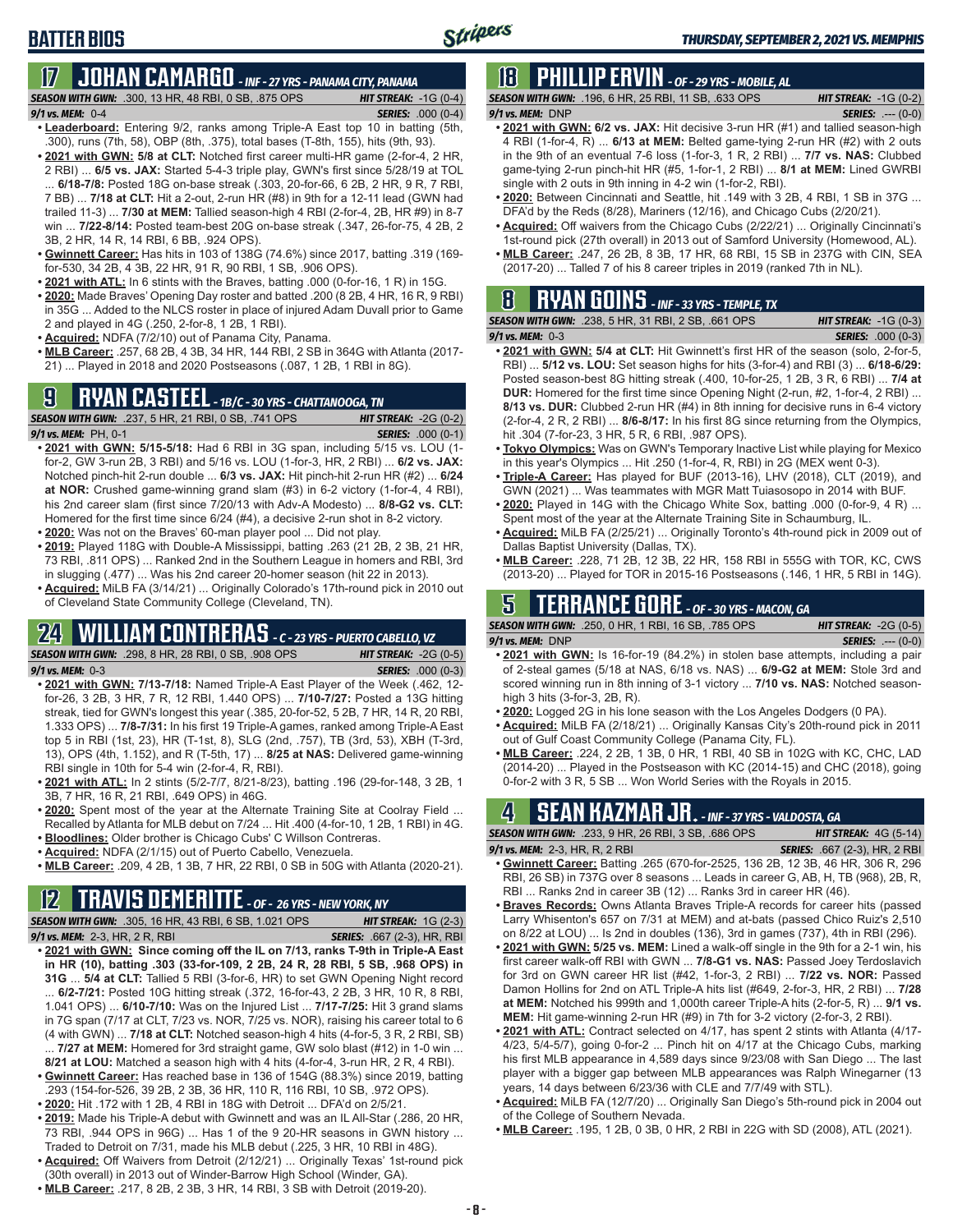### **17 JOHAN CAMARGO** *- INF - 27 YRS - PANAMA CITY, PANAMA*

*SEASON WITH GWN:*.300, 13 HR, 48 RBI, 0 SB, .875 OPS *HIT STREAK:* -1G (0-4)

#### *9/1 vs. MEM:* 0-4 *SERIES:* .000 (0-4)

- **• Leaderboard:** Entering 9/2, ranks among Triple-A East top 10 in batting (5th, .300), runs (7th, 58), OBP (8th, .375), total bases (T-8th, 155), hits (9th, 93).
- **• 2021 with GWN: 5/8 at CLT:** Notched first career multi-HR game (2-for-4, 2 HR, 2 RBI) ... **6/5 vs. JAX:** Started 5-4-3 triple play, GWN's first since 5/28/19 at TOL ... **6/18-7/8:** Posted 18G on-base streak (.303, 20-for-66, 6 2B, 2 HR, 9 R, 7 RBI, 7 BB) ... **7/18 at CLT:** Hit a 2-out, 2-run HR (#8) in 9th for a 12-11 lead (GWN had trailed 11-3) ... **7/30 at MEM:** Tallied season-high 4 RBI (2-for-4, 2B, HR #9) in 8-7 win ... **7/22-8/14:** Posted team-best 20G on-base streak (.347, 26-for-75, 4 2B, 2 3B, 2 HR, 14 R, 14 RBI, 6 BB, .924 OPS).
- **• Gwinnett Career:** Has hits in 103 of 138G (74.6%) since 2017, batting .319 (169 for-530, 34 2B, 4 3B, 22 HR, 91 R, 90 RBI, 1 SB, .906 OPS).
- **• 2021 with ATL:** In 6 stints with the Braves, batting .000 (0-for-16, 1 R) in 15G.
- **• 2020:** Made Braves' Opening Day roster and batted .200 (8 2B, 4 HR, 16 R, 9 RBI) in 35G ... Added to the NLCS roster in place of injured Adam Duvall prior to Game 2 and played in 4G (.250, 2-for-8, 1 2B, 1 RBI).
- **• Acquired:** NDFA (7/2/10) out of Panama City, Panama.
- **• MLB Career:** .257, 68 2B, 4 3B, 34 HR, 144 RBI, 2 SB in 364G with Atlanta (2017- 21) ... Played in 2018 and 2020 Postseasons (.087, 1 2B, 1 RBI in 8G).

### **9 RYAN CASTEEL** *- 1B/C - 30 YRS - CHATTANOOGA, TN*

*SEASON WITH GWN:*.237, 5 HR, 21 RBI, 0 SB, .741 OPS *HIT STREAK:* -2G (0-2) *9/1 vs. MEM:*PH, 0-1 *SERIES:* .000 (0-1)

- **• 2021 with GWN: 5/15-5/18:** Had 6 RBI in 3G span, including 5/15 vs. LOU (1 for-2, GW 3-run 2B, 3 RBI) and 5/16 vs. LOU (1-for-3, HR, 2 RBI) ... **6/2 vs. JAX:** Notched pinch-hit 2-run double ... **6/3 vs. JAX:** Hit pinch-hit 2-run HR (#2) ... **6/24 at NOR:** Crushed game-winning grand slam (#3) in 6-2 victory (1-for-4, 4 RBI), his 2nd career slam (first since 7/20/13 with Adv-A Modesto) ... **8/8-G2 vs. CLT:** Homered for the first time since 6/24 (#4), a decisive 2-run shot in 8-2 victory.
- **• 2020:** Was not on the Braves' 60-man player pool ... Did not play.
- **• 2019:** Played 118G with Double-A Mississippi, batting .263 (21 2B, 2 3B, 21 HR, 73 RBI, .811 OPS) ... Ranked 2nd in the Southern League in homers and RBI, 3rd in slugging (.477) ... Was his 2nd career 20-homer season (hit 22 in 2013).
- **• Acquired:** MiLB FA (3/14/21) ... Originally Colorado's 17th-round pick in 2010 out of Cleveland State Community College (Cleveland, TN).

# **24 WILLIAM CONTRERAS** *- C - 23 YRS - PUERTO CABELLO, VZ*

*SEASON WITH GWN:*.298, 8 HR, 28 RBI, 0 SB, .908 OPS *HIT STREAK:* -2G (0-5)

- *9/1 vs. MEM:* 0-3 *SERIES:* .000 (0-3) **• 2021 with GWN: 7/13-7/18:** Named Triple-A East Player of the Week (.462, 12 for-26, 3 2B, 3 HR, 7 R, 12 RBI, 1.440 OPS) ... **7/10-7/27:** Posted a 13G hitting streak, tied for GWN's longest this year (.385, 20-for-52, 5 2B, 7 HR, 14 R, 20 RBI, 1.333 OPS) ... **7/8-7/31:** In his first 19 Triple-A games, ranked among Triple-A East top 5 in RBI (1st, 23), HR (T-1st, 8), SLG (2nd, .757), TB (3rd, 53), XBH (T-3rd, 13), OPS (4th, 1.152), and R (T-5th, 17) ... **8/25 at NAS:** Delivered game-winning RBI single in 10th for 5-4 win (2-for-4, R, RBI).
- **• 2021 with ATL:** In 2 stints (5/2-7/7, 8/21-8/23), batting .196 (29-for-148, 3 2B, 1 3B, 7 HR, 16 R, 21 RBI, .649 OPS) in 46G.
- **• 2020:** Spent most of the year at the Alternate Training Site at Coolray Field ... Recalled by Atlanta for MLB debut on 7/24 ... Hit .400 (4-for-10, 1 2B, 1 RBI) in 4G.
- **• Bloodlines:** Older brother is Chicago Cubs' C Willson Contreras.
- **• Acquired:** NDFA (2/1/15) out of Puerto Cabello, Venezuela.
- **• MLB Career:** .209, 4 2B, 1 3B, 7 HR, 22 RBI, 0 SB in 50G with Atlanta (2020-21).

### **12 TRAVIS DEMERITTE** *- OF - 26 YRS - NEW YORK, NY*

- *SEASON WITH GWN:*.305, 16 HR, 43 RBI, 6 SB, 1.021 OPS *HIT STREAK:* 1G (2-3) *9/1 vs. MEM:*2-3, HR, 2 R, RBI *SERIES:* .667 (2-3), HR, RBI **• 2021 with GWN: Since coming off the IL on 7/13, ranks T-9th in Triple-A East in HR (10), batting .303 (33-for-109, 2 2B, 24 R, 28 RBI, 5 SB, .968 OPS) in 31G** ... **5/4 at CLT:** Tallied 5 RBI (3-for-6, HR) to set GWN Opening Night record ... **6/2-7/21:** Posted 10G hitting streak (.372, 16-for-43, 2 2B, 3 HR, 10 R, 8 RBI,
- 1.041 OPS) ... **6/10-7/10:** Was on the Injured List ... **7/17-7/25:** Hit 3 grand slams in 7G span (7/17 at CLT, 7/23 vs. NOR, 7/25 vs. NOR), raising his career total to 6 (4 with GWN) ... **7/18 at CLT:** Notched season-high 4 hits (4-for-5, 3 R, 2 RBI, SB)
- ... **7/27 at MEM:** Homered for 3rd straight game, GW solo blast (#12) in 1-0 win ... **8/21 at LOU:** Matched a season high with 4 hits (4-for-4, 3-run HR, 2 R, 4 RBI). **• Gwinnett Career:** Has reached base in 136 of 154G (88.3%) since 2019, batting
- .293 (154-for-526, 39 2B, 2 3B, 36 HR, 110 R, 116 RBI, 10 SB, .972 OPS). **• 2020:** Hit .172 with 1 2B, 4 RBI in 18G with Detroit ... DFA'd on 2/5/21.
- **• 2019:** Made his Triple-A debut with Gwinnett and was an IL All-Star (.286, 20 HR, 73 RBI, .944 OPS in 96G) ... Has 1 of the 9 20-HR seasons in GWN history Traded to Detroit on 7/31, made his MLB debut (.225, 3 HR, 10 RBI in 48G).
- **• Acquired:** Off Waivers from Detroit (2/12/21) ... Originally Texas' 1st-round pick (30th overall) in 2013 out of Winder-Barrow High School (Winder, GA).
- **• MLB Career:** .217, 8 2B, 2 3B, 3 HR, 14 RBI, 3 SB with Detroit (2019-20).

## **18 PHILLIP ERVIN** *- OF - 29 YRS - MOBILE, AL*

*SEASON WITH GWN:*.196, 6 HR, 25 RBI, 11 SB, .633 OPS *HIT STREAK:* -1G (0-2) *9/1 vs. MEM:*DNP *SERIES:* .--- (0-0)

- **• 2021 with GWN: 6/2 vs. JAX:** Hit decisive 3-run HR (#1) and tallied season-high 4 RBI (1-for-4, R) ... **6/13 at MEM:** Belted game-tying 2-run HR (#2) with 2 outs in the 9th of an eventual 7-6 loss (1-for-3, 1 R, 2 RBI) ... **7/7 vs. NAS:** Clubbed game-tying 2-run pinch-hit HR (#5, 1-for-1, 2 RBI) ... **8/1 at MEM:** Lined GWRBI single with 2 outs in 9th inning in 4-2 win (1-for-2, RBI).
- **• 2020:** Between Cincinnati and Seattle, hit .149 with 3 2B, 4 RBI, 1 SB in 37G ... DFA'd by the Reds (8/28), Mariners (12/16), and Chicago Cubs (2/20/21).
- **• Acquired:** Off waivers from the Chicago Cubs (2/22/21) ... Originally Cincinnati's 1st-round pick (27th overall) in 2013 out of Samford University (Homewood, AL).
- **• MLB Career:** .247, 26 2B, 8 3B, 17 HR, 68 RBI, 15 SB in 237G with CIN, SEA (2017-20) ... Talled 7 of his 8 career triples in 2019 (ranked 7th in NL).

#### **8 RYAN GOINS** *- INF - 33 YRS - TEMPLE, TX SEASON WITH GWN:*.238, 5 HR, 31 RBI, 2 SB, .661 OPS *HIT STREAK:* -1G (0-3)

*9/1 vs. MEM:*0-3 *SERIES:* .000 (0-3)

- **• 2021 with GWN: 5/4 at CLT:** Hit Gwinnett's first HR of the season (solo, 2-for-5, RBI) ... **5/12 vs. LOU:** Set season highs for hits (3-for-4) and RBI (3) ... **6/18-6/29:** Posted season-best 8G hitting streak (.400, 10-for-25, 1 2B, 3 R, 6 RBI) ... **7/4 at DUR:** Homered for the first time since Opening Night (2-run, #2, 1-for-4, 2 RBI) ... **8/13 vs. DUR:** Clubbed 2-run HR (#4) in 8th inning for decisive runs in 6-4 victory (2-for-4, 2 R, 2 RBI) ... **8/6-8/17:** In his first 8G since returning from the Olympics, hit .304 (7-for-23, 3 HR, 5 R, 6 RBI, .987 OPS).
- **• Tokyo Olympics:** Was on GWN's Temporary Inactive List while playing for Mexico in this year's Olympics ... Hit .250 (1-for-4, R, RBI) in 2G (MEX went 0-3).
- **• Triple-A Career:** Has played for BUF (2013-16), LHV (2018), CLT (2019), and GWN (2021) ... Was teammates with MGR Matt Tuiasosopo in 2014 with BUF.
- **• 2020:** Played in 14G with the Chicago White Sox, batting .000 (0-for-9, 4 R) ... Spent most of the year at the Alternate Training Site in Schaumburg, IL.
- **• Acquired:** MiLB FA (2/25/21) ... Originally Toronto's 4th-round pick in 2009 out of Dallas Baptist University (Dallas, TX).
- **• MLB Career:** .228, 71 2B, 12 3B, 22 HR, 158 RBI in 555G with TOR, KC, CWS (2013-20) ... Played for TOR in 2015-16 Postseasons (.146, 1 HR, 5 RBI in 14G).

### **5 TERRANCE GORE** *- OF - 30 YRS - MACON, GA*

*SEASON WITH GWN:*.250, 0 HR, 1 RBI, 16 SB, .785 OPS *HIT STREAK:* -2G (0-5) *9/1 vs. MEM:*DNP *SERIES:* .--- (0-0)

- **• 2021 with GWN:** Is 16-for-19 (84.2%) in stolen base attempts, including a pair of 2-steal games (5/18 at NAS, 6/18 vs. NAS) ... **6/9-G2 at MEM:** Stole 3rd and scored winning run in 8th inning of 3-1 victory ... **7/10 vs. NAS:** Notched seasonhigh 3 hits (3-for-3, 2B, R).
- **• 2020:** Logged 2G in his lone season with the Los Angeles Dodgers (0 PA).
- **• Acquired:** MiLB FA (2/18/21) ... Originally Kansas City's 20th-round pick in 2011 out of Gulf Coast Community College (Panama City, FL).
- **• MLB Career:** .224, 2 2B, 1 3B, 0 HR, 1 RBI, 40 SB in 102G with KC, CHC, LAD (2014-20) ... Played in the Postseason with KC (2014-15) and CHC (2018), going 0-for-2 with 3 R, 5 SB ... Won World Series with the Royals in 2015.

### **4 SEAN KAZMAR JR.** *- INF - 37 YRS - VALDOSTA, GA*

*SEASON WITH GWN:*.233, 9 HR, 26 RBI, 3 SB, .686 OPS *HIT STREAK:* 4G (5-14)

- *9/1 vs. MEM:*2-3, HR, R, 2 RBI *SERIES:* .667 (2-3), HR, 2 RBI **• Gwinnett Career:** Batting .265 (670-for-2525, 136 2B, 12 3B, 46 HR, 306 R, 296 RBI, 26 SB) in 737G over 8 seasons ... Leads in career G, AB, H, TB (968), 2B, R, RBI ... Ranks 2nd in career 3B (12) ... Ranks 3rd in career HR (46).
- **• Braves Records:** Owns Atlanta Braves Triple-A records for career hits (passed Larry Whisenton's 657 on 7/31 at MEM) and at-bats (passed Chico Ruiz's 2,510 on 8/22 at LOU) ... Is 2nd in doubles (136), 3rd in games (737), 4th in RBI (296).
- **• 2021 with GWN: 5/25 vs. MEM:** Lined a walk-off single in the 9th for a 2-1 win, his first career walk-off RBI with GWN ... **7/8-G1 vs. NAS:** Passed Joey Terdoslavich for 3rd on GWN career HR list (#42, 1-for-3, 2 RBI) ... **7/22 vs. NOR:** Passed Damon Hollins for 2nd on ATL Triple-A hits list (#649, 2-for-3, HR, 2 RBI) ... **7/28 at MEM:** Notched his 999th and 1,000th career Triple-A hits (2-for-5, R) ... **9/1 vs. MEM:** Hit game-winning 2-run HR (#9) in 7th for 3-2 victory (2-for-3, 2 RBI).
- **• 2021 with ATL:** Contract selected on 4/17, has spent 2 stints with Atlanta (4/17- 4/23, 5/4-5/7), going 0-for-2 ... Pinch hit on 4/17 at the Chicago Cubs, marking his first MLB appearance in 4,589 days since 9/23/08 with San Diego ... The last player with a bigger gap between MLB appearances was Ralph Winegarner (13 years, 14 days between 6/23/36 with CLE and 7/7/49 with STL).
- **• Acquired:** MiLB FA (12/7/20) ... Originally San Diego's 5th-round pick in 2004 out of the College of Southern Nevada.
- **• MLB Career:** .195, 1 2B, 0 3B, 0 HR, 2 RBI in 22G with SD (2008), ATL (2021).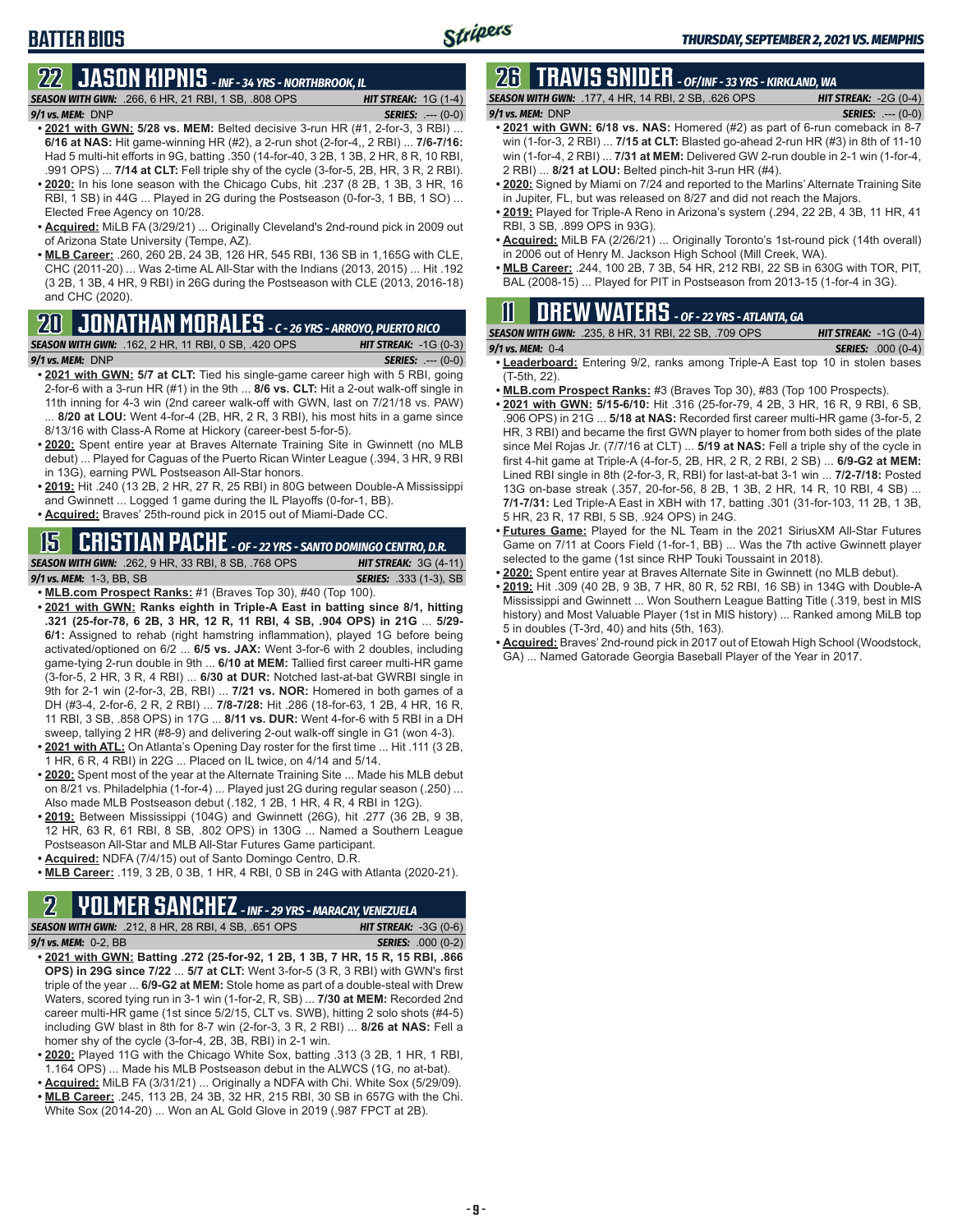## **BATTER BIOS**

## **22 JASON KIPNIS** *- INF - 34 YRS - NORTHBROOK, IL*

*SEASON WITH GWN:*.266, 6 HR, 21 RBI, 1 SB, .808 OPS *HIT STREAK:* 1G (1-4) *9/1 vs. MEM:*DNP *SERIES:* .--- (0-0)

- **• 2021 with GWN: 5/28 vs. MEM:** Belted decisive 3-run HR (#1, 2-for-3, 3 RBI) ... **6/16 at NAS:** Hit game-winning HR (#2), a 2-run shot (2-for-4,, 2 RBI) ... **7/6-7/16:** Had 5 multi-hit efforts in 9G, batting .350 (14-for-40, 3 2B, 1 3B, 2 HR, 8 R, 10 RBI, .991 OPS) ... **7/14 at CLT:** Fell triple shy of the cycle (3-for-5, 2B, HR, 3 R, 2 RBI).
- **• 2020:** In his lone season with the Chicago Cubs, hit .237 (8 2B, 1 3B, 3 HR, 16 RBI, 1 SB) in 44G ... Played in 2G during the Postseason (0-for-3, 1 BB, 1 SO) ... Elected Free Agency on 10/28.
- **• Acquired:** MiLB FA (3/29/21) ... Originally Cleveland's 2nd-round pick in 2009 out of Arizona State University (Tempe, AZ).
- **• MLB Career:** .260, 260 2B, 24 3B, 126 HR, 545 RBI, 136 SB in 1,165G with CLE, CHC (2011-20) ... Was 2-time AL All-Star with the Indians (2013, 2015) ... Hit .192 (3 2B, 1 3B, 4 HR, 9 RBI) in 26G during the Postseason with CLE (2013, 2016-18) and CHC (2020).

# **20 JONATHAN MORALES** *- C - 26 YRS - ARROYO, PUERTO RICO*

*SEASON WITH GWN:*.162, 2 HR, 11 RBI, 0 SB, .420 OPS *HIT STREAK:* -1G (0-3) *9/1 vs. MEM:*DNP *SERIES:* .--- (0-0)

- **• 2021 with GWN: 5/7 at CLT:** Tied his single-game career high with 5 RBI, going 2-for-6 with a 3-run HR (#1) in the 9th ... **8/6 vs. CLT:** Hit a 2-out walk-off single in 11th inning for 4-3 win (2nd career walk-off with GWN, last on 7/21/18 vs. PAW) 8/20 at LOU: Went 4-for-4 (2B, HR, 2 R, 3 RBI), his most hits in a game since 8/13/16 with Class-A Rome at Hickory (career-best 5-for-5).
- **• 2020:** Spent entire year at Braves Alternate Training Site in Gwinnett (no MLB debut) ... Played for Caguas of the Puerto Rican Winter League (.394, 3 HR, 9 RBI in 13G), earning PWL Postseason All-Star honors.
- **• 2019:** Hit .240 (13 2B, 2 HR, 27 R, 25 RBI) in 80G between Double-A Mississippi and Gwinnett ... Logged 1 game during the IL Playoffs (0-for-1, BB).
- **• Acquired:** Braves' 25th-round pick in 2015 out of Miami-Dade CC.

### **15 CRISTIAN PACHE** *- OF - 22 YRS - SANTO DOMINGO CENTRO, D.R.*

#### *SEASON WITH GWN:*.262, 9 HR, 33 RBI, 8 SB, .768 OPS *HIT STREAK:* 3G (4-11) *9/1 vs. MEM:* 1-3, BB, SB *SERIES:* .333 (1-3), SB

- **• MLB.com Prospect Ranks:** #1 (Braves Top 30), #40 (Top 100).
- **• 2021 with GWN: Ranks eighth in Triple-A East in batting since 8/1, hitting .321 (25-for-78, 6 2B, 3 HR, 12 R, 11 RBI, 4 SB, .904 OPS) in 21G** ... **5/29- 6/1:** Assigned to rehab (right hamstring inflammation), played 1G before being activated/optioned on 6/2 ... **6/5 vs. JAX:** Went 3-for-6 with 2 doubles, including game-tying 2-run double in 9th ... **6/10 at MEM:** Tallied first career multi-HR game (3-for-5, 2 HR, 3 R, 4 RBI) ... **6/30 at DUR:** Notched last-at-bat GWRBI single in 9th for 2-1 win (2-for-3, 2B, RBI) ... **7/21 vs. NOR:** Homered in both games of a DH (#3-4, 2-for-6, 2 R, 2 RBI) ... **7/8-7/28:** Hit .286 (18-for-63, 1 2B, 4 HR, 16 R, 11 RBI, 3 SB, .858 OPS) in 17G ... **8/11 vs. DUR:** Went 4-for-6 with 5 RBI in a DH sweep, tallying 2 HR (#8-9) and delivering 2-out walk-off single in G1 (won 4-3).
- **• 2021 with ATL:** On Atlanta's Opening Day roster for the first time ... Hit .111 (3 2B, 1 HR, 6 R, 4 RBI) in 22G ... Placed on IL twice, on 4/14 and 5/14.
- **• 2020:** Spent most of the year at the Alternate Training Site ... Made his MLB debut on 8/21 vs. Philadelphia (1-for-4) ... Played just 2G during regular season (.250) ... Also made MLB Postseason debut (.182, 1 2B, 1 HR, 4 R, 4 RBI in 12G).
- **• 2019:** Between Mississippi (104G) and Gwinnett (26G), hit .277 (36 2B, 9 3B, 12 HR, 63 R, 61 RBI, 8 SB, .802 OPS) in 130G ... Named a Southern League Postseason All-Star and MLB All-Star Futures Game participant.
- **• Acquired:** NDFA (7/4/15) out of Santo Domingo Centro, D.R.
- **• MLB Career:** .119, 3 2B, 0 3B, 1 HR, 4 RBI, 0 SB in 24G with Atlanta (2020-21).

### **2 YOLMER SANCHEZ** *- INF - 29 YRS - MARACAY, VENEZUELA*

*SEASON WITH GWN:*.212, 8 HR, 28 RBI, 4 SB, .651 OPS *HIT STREAK:* -3G (0-6) *9/1 vs. MEM:*0-2, BB *SERIES:* .000 (0-2)

- 
- **• 2021 with GWN: Batting .272 (25-for-92, 1 2B, 1 3B, 7 HR, 15 R, 15 RBI, .866 OPS) in 29G since 7/22** ... **5/7 at CLT:** Went 3-for-5 (3 R, 3 RBI) with GWN's first triple of the year ... **6/9-G2 at MEM:** Stole home as part of a double-steal with Drew Waters, scored tying run in 3-1 win (1-for-2, R, SB) ... **7/30 at MEM:** Recorded 2nd career multi-HR game (1st since 5/2/15, CLT vs. SWB), hitting 2 solo shots (#4-5) including GW blast in 8th for 8-7 win (2-for-3, 3 R, 2 RBI) ... **8/26 at NAS:** Fell a homer shy of the cycle (3-for-4, 2B, 3B, RBI) in 2-1 win.
- **• 2020:** Played 11G with the Chicago White Sox, batting .313 (3 2B, 1 HR, 1 RBI, 1.164 OPS) ... Made his MLB Postseason debut in the ALWCS (1G, no at-bat).
- **• Acquired:** MiLB FA (3/31/21) ... Originally a NDFA with Chi. White Sox (5/29/09).
- **• MLB Career:** .245, 113 2B, 24 3B, 32 HR, 215 RBI, 30 SB in 657G with the Chi. White Sox (2014-20) ... Won an AL Gold Glove in 2019 (.987 FPCT at 2B).

## **26 TRAVIS SNIDER** *- OF/INF - 33 YRS - KIRKLAND, WA*

*SEASON WITH GWN:*.177, 4 HR, 14 RBI, 2 SB, .626 OPS *HIT STREAK:* -2G (0-4)

- *9/1 vs. MEM:* DNP *SERIES:* .--- (0-0) **• 2021 with GWN: 6/18 vs. NAS:** Homered (#2) as part of 6-run comeback in 8-7 win (1-for-3, 2 RBI) ... **7/15 at CLT:** Blasted go-ahead 2-run HR (#3) in 8th of 11-10 win (1-for-4, 2 RBI) ... **7/31 at MEM:** Delivered GW 2-run double in 2-1 win (1-for-4, 2 RBI) ... **8/21 at LOU:** Belted pinch-hit 3-run HR (#4).
- **• 2020:** Signed by Miami on 7/24 and reported to the Marlins' Alternate Training Site in Jupiter, FL, but was released on 8/27 and did not reach the Majors.
- **• 2019:** Played for Triple-A Reno in Arizona's system (.294, 22 2B, 4 3B, 11 HR, 41 RBI, 3 SB, .899 OPS in 93G).
- **• Acquired:** MiLB FA (2/26/21) ... Originally Toronto's 1st-round pick (14th overall) in 2006 out of Henry M. Jackson High School (Mill Creek, WA).
- **• MLB Career:** .244, 100 2B, 7 3B, 54 HR, 212 RBI, 22 SB in 630G with TOR, PIT, BAL (2008-15) ... Played for PIT in Postseason from 2013-15 (1-for-4 in 3G).

### **11 Drew WATERS** *- OF - 22 YRS - ATLANTA, GA*

|                      | <b>SEASON WITH GWN: .235. 8 HR. 31 RBI. 22 SB. .709 OPS</b> | <b>HIT STREAK:</b> $-1G(0-4)$ |
|----------------------|-------------------------------------------------------------|-------------------------------|
| $9/1$ vs. MEM: $0-4$ |                                                             | <b>SERIES:</b> .000 (0-4)     |

- **• Leaderboard:** Entering 9/2, ranks among Triple-A East top 10 in stolen bases (T-5th, 22).
- **• MLB.com Prospect Ranks:** #3 (Braves Top 30), #83 (Top 100 Prospects).
- **• 2021 with GWN: 5/15-6/10:** Hit .316 (25-for-79, 4 2B, 3 HR, 16 R, 9 RBI, 6 SB, .906 OPS) in 21G ... **5/18 at NAS:** Recorded first career multi-HR game (3-for-5, 2 HR, 3 RBI) and became the first GWN player to homer from both sides of the plate since Mel Rojas Jr. (7/7/16 at CLT) ... **5/19 at NAS:** Fell a triple shy of the cycle in first 4-hit game at Triple-A (4-for-5, 2B, HR, 2 R, 2 RBI, 2 SB) ... **6/9-G2 at MEM:** Lined RBI single in 8th (2-for-3, R, RBI) for last-at-bat 3-1 win ... **7/2-7/18:** Posted 13G on-base streak (.357, 20-for-56, 8 2B, 1 3B, 2 HR, 14 R, 10 RBI, 4 SB) ... **7/1-7/31:** Led Triple-A East in XBH with 17, batting .301 (31-for-103, 11 2B, 1 3B, 5 HR, 23 R, 17 RBI, 5 SB, .924 OPS) in 24G.
- **• Futures Game:** Played for the NL Team in the 2021 SiriusXM All-Star Futures Game on 7/11 at Coors Field (1-for-1, BB) ... Was the 7th active Gwinnett player selected to the game (1st since RHP Touki Toussaint in 2018).
- **• 2020:** Spent entire year at Braves Alternate Site in Gwinnett (no MLB debut).
- **• 2019:** Hit .309 (40 2B, 9 3B, 7 HR, 80 R, 52 RBI, 16 SB) in 134G with Double-A Mississippi and Gwinnett ... Won Southern League Batting Title (.319, best in MIS history) and Most Valuable Player (1st in MIS history) ... Ranked among MiLB top 5 in doubles (T-3rd, 40) and hits (5th, 163).
- **• Acquired:** Braves' 2nd-round pick in 2017 out of Etowah High School (Woodstock, GA) ... Named Gatorade Georgia Baseball Player of the Year in 2017.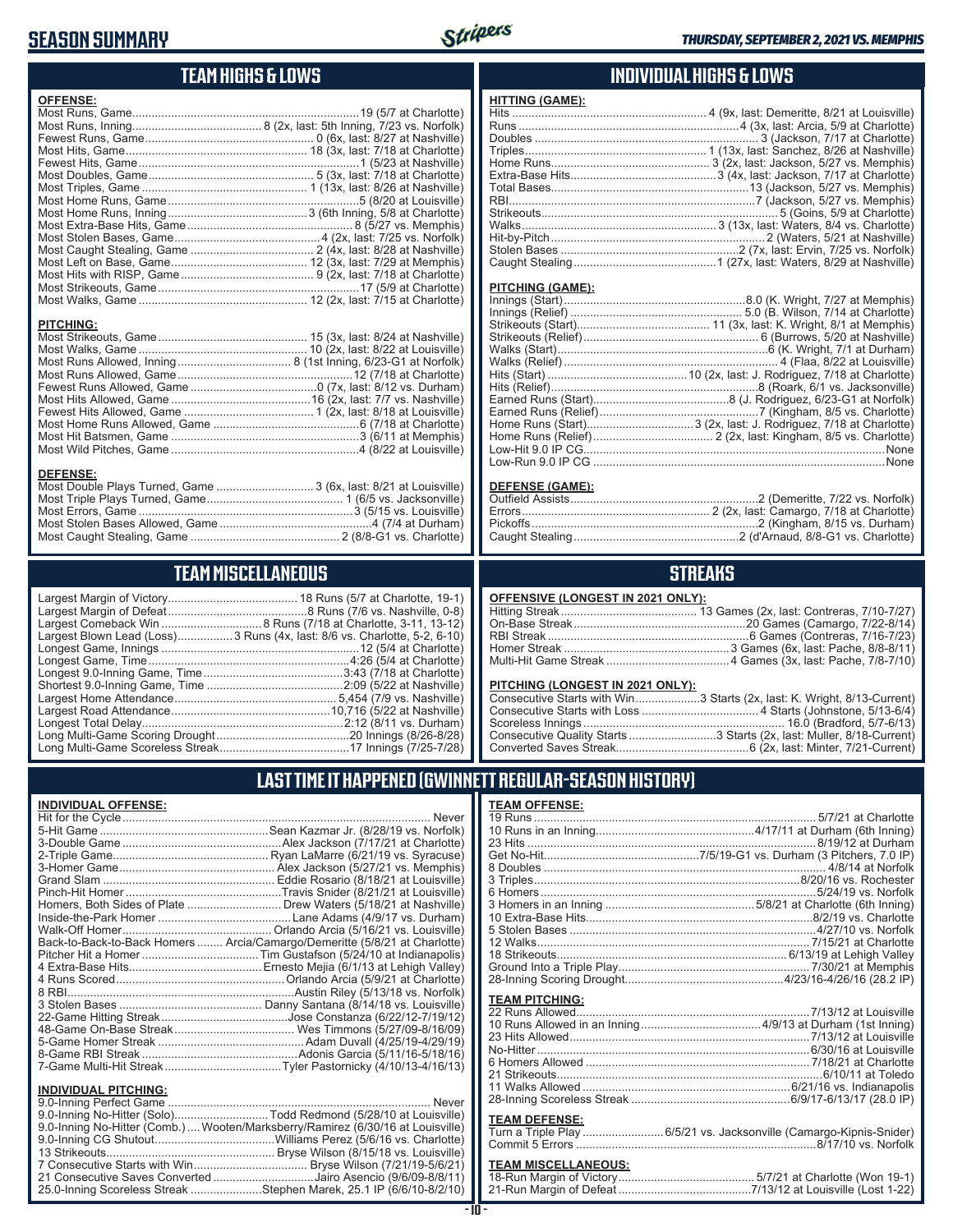### **SEASON SUMMARY**



### **TEAM HIGHS & LOWS**

| <b>OFFENSE:</b>                                                                     |  |
|-------------------------------------------------------------------------------------|--|
|                                                                                     |  |
|                                                                                     |  |
|                                                                                     |  |
|                                                                                     |  |
|                                                                                     |  |
|                                                                                     |  |
|                                                                                     |  |
|                                                                                     |  |
|                                                                                     |  |
|                                                                                     |  |
|                                                                                     |  |
|                                                                                     |  |
|                                                                                     |  |
|                                                                                     |  |
|                                                                                     |  |
|                                                                                     |  |
| <b>PITCHING:</b>                                                                    |  |
| <b>DEFENSE:</b><br>Most Double Plays Turned, Game  3 (6x, last: 8/21 at Louisville) |  |

## Most Caught Stealing, Game .............................................. 2 (8/8-G1 vs. Charlotte)

### **TEAM MISCELLANEOUS**

| Largest Blown Lead (Loss) 3 Runs (4x, last: 8/6 vs. Charlotte, 5-2, 6-10) |
|---------------------------------------------------------------------------|
|                                                                           |
|                                                                           |
|                                                                           |
|                                                                           |
|                                                                           |
|                                                                           |
|                                                                           |
|                                                                           |
|                                                                           |

### **INDIVIDUAL HIGHS & LOWS**

| <b>HITTING (GAME):</b> |  |
|------------------------|--|
|                        |  |
|                        |  |
|                        |  |
|                        |  |
|                        |  |
|                        |  |
|                        |  |
|                        |  |
|                        |  |
|                        |  |
|                        |  |
|                        |  |
|                        |  |
|                        |  |

#### **PITCHING (GAME):**

#### **DEFENSE (GAME):**

### **STREAKS**

#### **OFFENSIVE (LONGEST IN 2021 ONLY):**

#### **PITCHING (LONGEST IN 2021 ONLY):**

| Consecutive Starts with Win3 Starts (2x, last: K. Wright, 8/13-Current) |
|-------------------------------------------------------------------------|
|                                                                         |
|                                                                         |
| Consecutive Quality Starts 3 Starts (2x, last: Muller, 8/18-Current)    |
|                                                                         |

### **LAST TIME IT HAPPENED (GWINNETT REGULAR-SEASON HISTORY)**

#### **INDIVIDUAL OFFENSE:**

| Homers, Both Sides of Plate Drew Waters (5/18/21 at Nashville)             |
|----------------------------------------------------------------------------|
|                                                                            |
|                                                                            |
| Back-to-Back-to-Back Homers  Arcia/Camargo/Demeritte (5/8/21 at Charlotte) |
|                                                                            |
|                                                                            |
|                                                                            |
|                                                                            |
|                                                                            |
|                                                                            |
|                                                                            |
|                                                                            |
|                                                                            |
|                                                                            |
|                                                                            |
|                                                                            |
|                                                                            |

| טאווחט ווידע באטשעו שמו                                                       |  |
|-------------------------------------------------------------------------------|--|
|                                                                               |  |
| 9.0-Inning No-Hitter (Solo)Todd Redmond (5/28/10 at Louisville)               |  |
| 9.0-Inning No-Hitter (Comb.)Wooten/Marksberry/Ramirez (6/30/16 at Louisville) |  |
|                                                                               |  |
|                                                                               |  |
| 7 Consecutive Starts with Win Bryse Wilson (7/21/19-5/6/21)                   |  |
| 21 Consecutive Saves Converted Jairo Asencio (9/6/09-8/8/11)                  |  |
| 25.0-Inning Scoreless Streak Stephen Marek, 25.1 IP (6/6/10-8/2/10)           |  |
|                                                                               |  |

#### **TEAM OFFENSE:**

| <b>TEAM PITCHING:</b> |                                                                    |
|-----------------------|--------------------------------------------------------------------|
|                       |                                                                    |
| <b>TEAM DEFENSE:</b>  | Turn a Triple Play 6/5/21 vs. Jacksonville (Camargo-Kipnis-Snider) |

## **TEAM MISCELLANEOUS:**<br>18-Run Margin of Victory....

| 21-Run Margin of Defeat…………………………………7/13/12 at Louisville (Lost 1-22) |
|-----------------------------------------------------------------------|